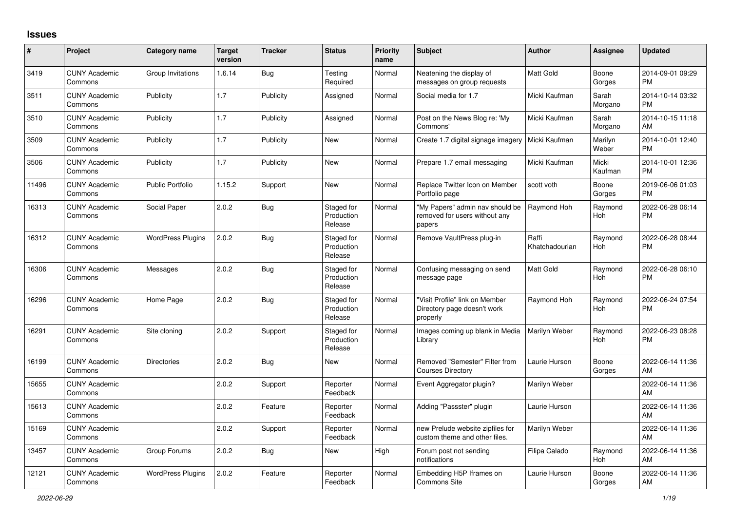## **Issues**

| $\sharp$ | Project                         | <b>Category name</b>     | <b>Target</b><br>version | <b>Tracker</b> | <b>Status</b>                       | <b>Priority</b><br>name | <b>Subject</b>                                                             | Author                  | <b>Assignee</b>  | <b>Updated</b>                |
|----------|---------------------------------|--------------------------|--------------------------|----------------|-------------------------------------|-------------------------|----------------------------------------------------------------------------|-------------------------|------------------|-------------------------------|
| 3419     | <b>CUNY Academic</b><br>Commons | Group Invitations        | 1.6.14                   | Bug            | Testing<br>Required                 | Normal                  | Neatening the display of<br>messages on group requests                     | <b>Matt Gold</b>        | Boone<br>Gorges  | 2014-09-01 09:29<br><b>PM</b> |
| 3511     | <b>CUNY Academic</b><br>Commons | Publicity                | 1.7                      | Publicity      | Assigned                            | Normal                  | Social media for 1.7                                                       | Micki Kaufman           | Sarah<br>Morgano | 2014-10-14 03:32<br><b>PM</b> |
| 3510     | <b>CUNY Academic</b><br>Commons | Publicity                | 1.7                      | Publicity      | Assigned                            | Normal                  | Post on the News Blog re: 'My<br>Commons'                                  | Micki Kaufman           | Sarah<br>Morgano | 2014-10-15 11:18<br>AM        |
| 3509     | <b>CUNY Academic</b><br>Commons | Publicity                | 1.7                      | Publicity      | New                                 | Normal                  | Create 1.7 digital signage imagery                                         | Micki Kaufman           | Marilyn<br>Weber | 2014-10-01 12:40<br><b>PM</b> |
| 3506     | <b>CUNY Academic</b><br>Commons | Publicity                | 1.7                      | Publicity      | New                                 | Normal                  | Prepare 1.7 email messaging                                                | Micki Kaufman           | Micki<br>Kaufman | 2014-10-01 12:36<br><b>PM</b> |
| 11496    | <b>CUNY Academic</b><br>Commons | <b>Public Portfolio</b>  | 1.15.2                   | Support        | New                                 | Normal                  | Replace Twitter Icon on Member<br>Portfolio page                           | scott voth              | Boone<br>Gorges  | 2019-06-06 01:03<br><b>PM</b> |
| 16313    | <b>CUNY Academic</b><br>Commons | Social Paper             | 2.0.2                    | <b>Bug</b>     | Staged for<br>Production<br>Release | Normal                  | "My Papers" admin nav should be<br>removed for users without any<br>papers | Raymond Hoh             | Raymond<br>Hoh   | 2022-06-28 06:14<br><b>PM</b> |
| 16312    | <b>CUNY Academic</b><br>Commons | <b>WordPress Plugins</b> | 2.0.2                    | <b>Bug</b>     | Staged for<br>Production<br>Release | Normal                  | Remove VaultPress plug-in                                                  | Raffi<br>Khatchadourian | Raymond<br>Hoh   | 2022-06-28 08:44<br><b>PM</b> |
| 16306    | <b>CUNY Academic</b><br>Commons | Messages                 | 2.0.2                    | <b>Bug</b>     | Staged for<br>Production<br>Release | Normal                  | Confusing messaging on send<br>message page                                | <b>Matt Gold</b>        | Raymond<br>Hoh   | 2022-06-28 06:10<br><b>PM</b> |
| 16296    | <b>CUNY Academic</b><br>Commons | Home Page                | 2.0.2                    | Bug            | Staged for<br>Production<br>Release | Normal                  | "Visit Profile" link on Member<br>Directory page doesn't work<br>properly  | Raymond Hoh             | Raymond<br>Hoh   | 2022-06-24 07:54<br><b>PM</b> |
| 16291    | <b>CUNY Academic</b><br>Commons | Site cloning             | 2.0.2                    | Support        | Staged for<br>Production<br>Release | Normal                  | Images coming up blank in Media<br>Library                                 | Marilyn Weber           | Raymond<br>Hoh   | 2022-06-23 08:28<br><b>PM</b> |
| 16199    | <b>CUNY Academic</b><br>Commons | <b>Directories</b>       | 2.0.2                    | Bug            | <b>New</b>                          | Normal                  | Removed "Semester" Filter from<br><b>Courses Directory</b>                 | Laurie Hurson           | Boone<br>Gorges  | 2022-06-14 11:36<br>AM        |
| 15655    | <b>CUNY Academic</b><br>Commons |                          | 2.0.2                    | Support        | Reporter<br>Feedback                | Normal                  | Event Aggregator plugin?                                                   | Marilyn Weber           |                  | 2022-06-14 11:36<br>AM        |
| 15613    | <b>CUNY Academic</b><br>Commons |                          | 2.0.2                    | Feature        | Reporter<br>Feedback                | Normal                  | Adding "Passster" plugin                                                   | Laurie Hurson           |                  | 2022-06-14 11:36<br>AM        |
| 15169    | <b>CUNY Academic</b><br>Commons |                          | 2.0.2                    | Support        | Reporter<br>Feedback                | Normal                  | new Prelude website zipfiles for<br>custom theme and other files.          | Marilyn Weber           |                  | 2022-06-14 11:36<br>AM        |
| 13457    | <b>CUNY Academic</b><br>Commons | Group Forums             | 2.0.2                    | <b>Bug</b>     | <b>New</b>                          | High                    | Forum post not sending<br>notifications                                    | Filipa Calado           | Raymond<br>Hoh   | 2022-06-14 11:36<br>AM        |
| 12121    | <b>CUNY Academic</b><br>Commons | <b>WordPress Plugins</b> | 2.0.2                    | Feature        | Reporter<br>Feedback                | Normal                  | Embedding H5P Iframes on<br><b>Commons Site</b>                            | Laurie Hurson           | Boone<br>Gorges  | 2022-06-14 11:36<br>AM        |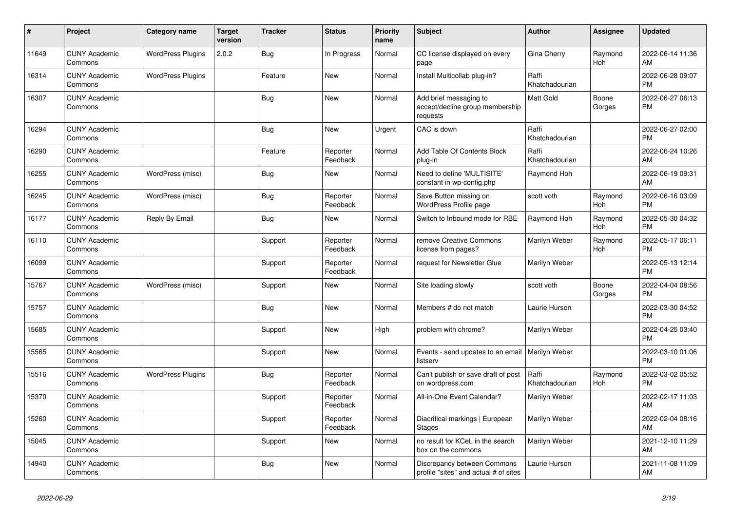| $\pmb{\#}$ | <b>Project</b>                  | Category name            | <b>Target</b><br>version | <b>Tracker</b> | <b>Status</b>        | <b>Priority</b><br>name | <b>Subject</b>                                                        | <b>Author</b>           | <b>Assignee</b>       | <b>Updated</b>                |
|------------|---------------------------------|--------------------------|--------------------------|----------------|----------------------|-------------------------|-----------------------------------------------------------------------|-------------------------|-----------------------|-------------------------------|
| 11649      | <b>CUNY Academic</b><br>Commons | <b>WordPress Plugins</b> | 2.0.2                    | <b>Bug</b>     | In Progress          | Normal                  | CC license displayed on every<br>page                                 | Gina Cherry             | Raymond<br>Hoh        | 2022-06-14 11:36<br>AM        |
| 16314      | <b>CUNY Academic</b><br>Commons | <b>WordPress Plugins</b> |                          | Feature        | <b>New</b>           | Normal                  | Install Multicollab plug-in?                                          | Raffi<br>Khatchadourian |                       | 2022-06-28 09:07<br><b>PM</b> |
| 16307      | <b>CUNY Academic</b><br>Commons |                          |                          | <b>Bug</b>     | <b>New</b>           | Normal                  | Add brief messaging to<br>accept/decline group membership<br>requests | Matt Gold               | Boone<br>Gorges       | 2022-06-27 06:13<br><b>PM</b> |
| 16294      | <b>CUNY Academic</b><br>Commons |                          |                          | Bug            | <b>New</b>           | Urgent                  | CAC is down                                                           | Raffi<br>Khatchadourian |                       | 2022-06-27 02:00<br><b>PM</b> |
| 16290      | <b>CUNY Academic</b><br>Commons |                          |                          | Feature        | Reporter<br>Feedback | Normal                  | Add Table Of Contents Block<br>plug-in                                | Raffi<br>Khatchadourian |                       | 2022-06-24 10:26<br>AM        |
| 16255      | <b>CUNY Academic</b><br>Commons | WordPress (misc)         |                          | Bug            | <b>New</b>           | Normal                  | Need to define 'MULTISITE'<br>constant in wp-config.php               | Raymond Hoh             |                       | 2022-06-19 09:31<br>AM        |
| 16245      | <b>CUNY Academic</b><br>Commons | WordPress (misc)         |                          | <b>Bug</b>     | Reporter<br>Feedback | Normal                  | Save Button missing on<br>WordPress Profile page                      | scott voth              | Raymond<br>Hoh        | 2022-06-16 03:09<br><b>PM</b> |
| 16177      | <b>CUNY Academic</b><br>Commons | Reply By Email           |                          | Bug            | New                  | Normal                  | Switch to Inbound mode for RBE                                        | Raymond Hoh             | Raymond<br>Hoh        | 2022-05-30 04:32<br><b>PM</b> |
| 16110      | <b>CUNY Academic</b><br>Commons |                          |                          | Support        | Reporter<br>Feedback | Normal                  | remove Creative Commons<br>license from pages?                        | Marilyn Weber           | Raymond<br>Hoh        | 2022-05-17 06:11<br><b>PM</b> |
| 16099      | <b>CUNY Academic</b><br>Commons |                          |                          | Support        | Reporter<br>Feedback | Normal                  | request for Newsletter Glue                                           | Marilyn Weber           |                       | 2022-05-13 12:14<br><b>PM</b> |
| 15767      | <b>CUNY Academic</b><br>Commons | WordPress (misc)         |                          | Support        | New                  | Normal                  | Site loading slowly                                                   | scott voth              | Boone<br>Gorges       | 2022-04-04 08:56<br><b>PM</b> |
| 15757      | <b>CUNY Academic</b><br>Commons |                          |                          | Bug            | <b>New</b>           | Normal                  | Members # do not match                                                | Laurie Hurson           |                       | 2022-03-30 04:52<br><b>PM</b> |
| 15685      | <b>CUNY Academic</b><br>Commons |                          |                          | Support        | <b>New</b>           | High                    | problem with chrome?                                                  | Marilyn Weber           |                       | 2022-04-25 03:40<br><b>PM</b> |
| 15565      | <b>CUNY Academic</b><br>Commons |                          |                          | Support        | New                  | Normal                  | Events - send updates to an email<br>listserv                         | Marilyn Weber           |                       | 2022-03-10 01:06<br><b>PM</b> |
| 15516      | <b>CUNY Academic</b><br>Commons | <b>WordPress Plugins</b> |                          | <b>Bug</b>     | Reporter<br>Feedback | Normal                  | Can't publish or save draft of post<br>on wordpress.com               | Raffi<br>Khatchadourian | Raymond<br><b>Hoh</b> | 2022-03-02 05:52<br><b>PM</b> |
| 15370      | <b>CUNY Academic</b><br>Commons |                          |                          | Support        | Reporter<br>Feedback | Normal                  | All-in-One Event Calendar?                                            | Marilyn Weber           |                       | 2022-02-17 11:03<br>AM        |
| 15260      | <b>CUNY Academic</b><br>Commons |                          |                          | Support        | Reporter<br>Feedback | Normal                  | Diacritical markings   European<br><b>Stages</b>                      | Marilyn Weber           |                       | 2022-02-04 08:16<br>AM        |
| 15045      | <b>CUNY Academic</b><br>Commons |                          |                          | Support        | New                  | Normal                  | no result for KCeL in the search<br>box on the commons                | Marilyn Weber           |                       | 2021-12-10 11:29<br>AM        |
| 14940      | <b>CUNY Academic</b><br>Commons |                          |                          | <b>Bug</b>     | <b>New</b>           | Normal                  | Discrepancy between Commons<br>profile "sites" and actual # of sites  | Laurie Hurson           |                       | 2021-11-08 11:09<br>AM        |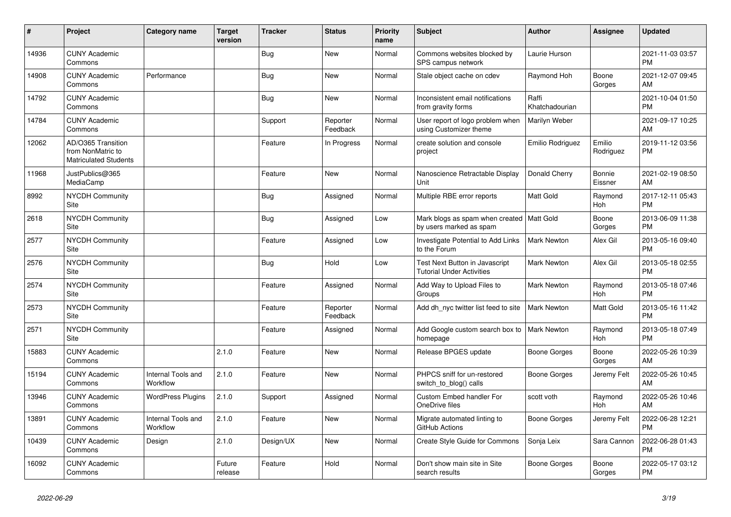| ∦     | Project                                                                 | <b>Category name</b>           | <b>Target</b><br>version | <b>Tracker</b> | <b>Status</b>        | <b>Priority</b><br>name | <b>Subject</b>                                                         | <b>Author</b>           | <b>Assignee</b>       | <b>Updated</b>                |
|-------|-------------------------------------------------------------------------|--------------------------------|--------------------------|----------------|----------------------|-------------------------|------------------------------------------------------------------------|-------------------------|-----------------------|-------------------------------|
| 14936 | <b>CUNY Academic</b><br>Commons                                         |                                |                          | Bug            | New                  | Normal                  | Commons websites blocked by<br>SPS campus network                      | Laurie Hurson           |                       | 2021-11-03 03:57<br><b>PM</b> |
| 14908 | <b>CUNY Academic</b><br>Commons                                         | Performance                    |                          | <b>Bug</b>     | <b>New</b>           | Normal                  | Stale object cache on cdev                                             | Raymond Hoh             | Boone<br>Gorges       | 2021-12-07 09:45<br>AM        |
| 14792 | <b>CUNY Academic</b><br>Commons                                         |                                |                          | Bug            | <b>New</b>           | Normal                  | Inconsistent email notifications<br>from gravity forms                 | Raffi<br>Khatchadourian |                       | 2021-10-04 01:50<br><b>PM</b> |
| 14784 | <b>CUNY Academic</b><br>Commons                                         |                                |                          | Support        | Reporter<br>Feedback | Normal                  | User report of logo problem when<br>using Customizer theme             | Marilyn Weber           |                       | 2021-09-17 10:25<br>AM        |
| 12062 | AD/O365 Transition<br>from NonMatric to<br><b>Matriculated Students</b> |                                |                          | Feature        | In Progress          | Normal                  | create solution and console<br>project                                 | Emilio Rodriguez        | Emilio<br>Rodriguez   | 2019-11-12 03:56<br><b>PM</b> |
| 11968 | JustPublics@365<br>MediaCamp                                            |                                |                          | Feature        | <b>New</b>           | Normal                  | Nanoscience Retractable Display<br>Unit                                | Donald Cherry           | Bonnie<br>Eissner     | 2021-02-19 08:50<br>AM        |
| 8992  | <b>NYCDH Community</b><br>Site                                          |                                |                          | <b>Bug</b>     | Assigned             | Normal                  | Multiple RBE error reports                                             | Matt Gold               | Raymond<br>Hoh        | 2017-12-11 05:43<br><b>PM</b> |
| 2618  | NYCDH Community<br>Site                                                 |                                |                          | Bug            | Assigned             | Low                     | Mark blogs as spam when created   Matt Gold<br>by users marked as spam |                         | Boone<br>Gorges       | 2013-06-09 11:38<br><b>PM</b> |
| 2577  | NYCDH Community<br>Site                                                 |                                |                          | Feature        | Assigned             | Low                     | <b>Investigate Potential to Add Links</b><br>to the Forum              | <b>Mark Newton</b>      | Alex Gil              | 2013-05-16 09:40<br><b>PM</b> |
| 2576  | <b>NYCDH Community</b><br>Site                                          |                                |                          | <b>Bug</b>     | Hold                 | Low                     | Test Next Button in Javascript<br><b>Tutorial Under Activities</b>     | <b>Mark Newton</b>      | Alex Gil              | 2013-05-18 02:55<br><b>PM</b> |
| 2574  | NYCDH Community<br>Site                                                 |                                |                          | Feature        | Assigned             | Normal                  | Add Way to Upload Files to<br>Groups                                   | Mark Newton             | Raymond<br><b>Hoh</b> | 2013-05-18 07:46<br><b>PM</b> |
| 2573  | <b>NYCDH Community</b><br>Site                                          |                                |                          | Feature        | Reporter<br>Feedback | Normal                  | Add dh nyc twitter list feed to site                                   | <b>Mark Newton</b>      | Matt Gold             | 2013-05-16 11:42<br><b>PM</b> |
| 2571  | <b>NYCDH Community</b><br>Site                                          |                                |                          | Feature        | Assigned             | Normal                  | Add Google custom search box to<br>homepage                            | <b>Mark Newton</b>      | Raymond<br>Hoh        | 2013-05-18 07:49<br><b>PM</b> |
| 15883 | <b>CUNY Academic</b><br>Commons                                         |                                | 2.1.0                    | Feature        | <b>New</b>           | Normal                  | Release BPGES update                                                   | Boone Gorges            | Boone<br>Gorges       | 2022-05-26 10:39<br>AM        |
| 15194 | <b>CUNY Academic</b><br>Commons                                         | Internal Tools and<br>Workflow | 2.1.0                    | Feature        | <b>New</b>           | Normal                  | PHPCS sniff for un-restored<br>switch_to_blog() calls                  | Boone Gorges            | Jeremy Felt           | 2022-05-26 10:45<br>AM        |
| 13946 | <b>CUNY Academic</b><br>Commons                                         | <b>WordPress Plugins</b>       | 2.1.0                    | Support        | Assigned             | Normal                  | <b>Custom Embed handler For</b><br>OneDrive files                      | scott voth              | Raymond<br>Hoh        | 2022-05-26 10:46<br>AM        |
| 13891 | <b>CUNY Academic</b><br>Commons                                         | Internal Tools and<br>Workflow | 2.1.0                    | Feature        | <b>New</b>           | Normal                  | Migrate automated linting to<br>GitHub Actions                         | <b>Boone Gorges</b>     | Jeremy Felt           | 2022-06-28 12:21<br><b>PM</b> |
| 10439 | <b>CUNY Academic</b><br>Commons                                         | Design                         | 2.1.0                    | Design/UX      | <b>New</b>           | Normal                  | Create Style Guide for Commons                                         | Sonja Leix              | Sara Cannon           | 2022-06-28 01:43<br><b>PM</b> |
| 16092 | <b>CUNY Academic</b><br>Commons                                         |                                | Future<br>release        | Feature        | Hold                 | Normal                  | Don't show main site in Site<br>search results                         | Boone Gorges            | Boone<br>Gorges       | 2022-05-17 03:12<br><b>PM</b> |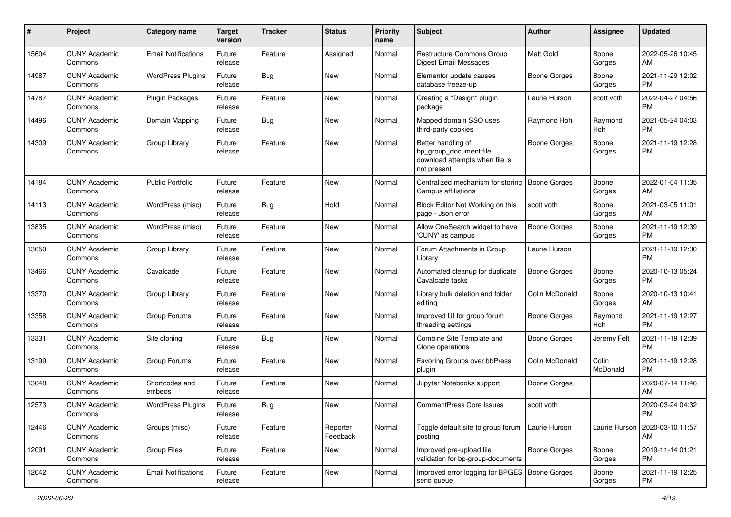| #     | Project                         | <b>Category name</b>       | <b>Target</b><br>version | <b>Tracker</b> | <b>Status</b>        | <b>Priority</b><br>name | <b>Subject</b>                                                                                | Author              | <b>Assignee</b>   | <b>Updated</b>                |
|-------|---------------------------------|----------------------------|--------------------------|----------------|----------------------|-------------------------|-----------------------------------------------------------------------------------------------|---------------------|-------------------|-------------------------------|
| 15604 | <b>CUNY Academic</b><br>Commons | <b>Email Notifications</b> | Future<br>release        | Feature        | Assigned             | Normal                  | Restructure Commons Group<br>Digest Email Messages                                            | Matt Gold           | Boone<br>Gorges   | 2022-05-26 10:45<br>AM        |
| 14987 | <b>CUNY Academic</b><br>Commons | <b>WordPress Plugins</b>   | Future<br>release        | Bug            | New                  | Normal                  | Elementor update causes<br>database freeze-up                                                 | Boone Gorges        | Boone<br>Gorges   | 2021-11-29 12:02<br>PM        |
| 14787 | <b>CUNY Academic</b><br>Commons | <b>Plugin Packages</b>     | Future<br>release        | Feature        | New                  | Normal                  | Creating a "Design" plugin<br>package                                                         | Laurie Hurson       | scott voth        | 2022-04-27 04:56<br><b>PM</b> |
| 14496 | <b>CUNY Academic</b><br>Commons | Domain Mapping             | Future<br>release        | <b>Bug</b>     | New                  | Normal                  | Mapped domain SSO uses<br>third-party cookies                                                 | Raymond Hoh         | Raymond<br>Hoh    | 2021-05-24 04:03<br><b>PM</b> |
| 14309 | <b>CUNY Academic</b><br>Commons | Group Library              | Future<br>release        | Feature        | New                  | Normal                  | Better handling of<br>bp_group_document file<br>download attempts when file is<br>not present | <b>Boone Gorges</b> | Boone<br>Gorges   | 2021-11-19 12:28<br><b>PM</b> |
| 14184 | <b>CUNY Academic</b><br>Commons | <b>Public Portfolio</b>    | Future<br>release        | Feature        | New                  | Normal                  | Centralized mechanism for storing<br>Campus affiliations                                      | <b>Boone Gorges</b> | Boone<br>Gorges   | 2022-01-04 11:35<br>AM        |
| 14113 | <b>CUNY Academic</b><br>Commons | WordPress (misc)           | Future<br>release        | <b>Bug</b>     | Hold                 | Normal                  | Block Editor Not Working on this<br>page - Json error                                         | scott voth          | Boone<br>Gorges   | 2021-03-05 11:01<br>AM        |
| 13835 | <b>CUNY Academic</b><br>Commons | WordPress (misc)           | Future<br>release        | Feature        | <b>New</b>           | Normal                  | Allow OneSearch widget to have<br>'CUNY' as campus                                            | Boone Gorges        | Boone<br>Gorges   | 2021-11-19 12:39<br>PM        |
| 13650 | <b>CUNY Academic</b><br>Commons | Group Library              | Future<br>release        | Feature        | New                  | Normal                  | Forum Attachments in Group<br>Library                                                         | Laurie Hurson       |                   | 2021-11-19 12:30<br>PM        |
| 13466 | <b>CUNY Academic</b><br>Commons | Cavalcade                  | Future<br>release        | Feature        | New                  | Normal                  | Automated cleanup for duplicate<br>Cavalcade tasks                                            | <b>Boone Gorges</b> | Boone<br>Gorges   | 2020-10-13 05:24<br><b>PM</b> |
| 13370 | <b>CUNY Academic</b><br>Commons | Group Library              | Future<br>release        | Feature        | New                  | Normal                  | Library bulk deletion and folder<br>editing                                                   | Colin McDonald      | Boone<br>Gorges   | 2020-10-13 10:41<br>AM        |
| 13358 | <b>CUNY Academic</b><br>Commons | Group Forums               | Future<br>release        | Feature        | New                  | Normal                  | Improved UI for group forum<br>threading settings                                             | Boone Gorges        | Raymond<br>Hoh    | 2021-11-19 12:27<br>PM        |
| 13331 | <b>CUNY Academic</b><br>Commons | Site cloning               | Future<br>release        | Bug            | New                  | Normal                  | Combine Site Template and<br>Clone operations                                                 | Boone Gorges        | Jeremy Felt       | 2021-11-19 12:39<br><b>PM</b> |
| 13199 | <b>CUNY Academic</b><br>Commons | Group Forums               | Future<br>release        | Feature        | <b>New</b>           | Normal                  | Favoring Groups over bbPress<br>plugin                                                        | Colin McDonald      | Colin<br>McDonald | 2021-11-19 12:28<br>PM        |
| 13048 | <b>CUNY Academic</b><br>Commons | Shortcodes and<br>embeds   | Future<br>release        | Feature        | <b>New</b>           | Normal                  | Jupyter Notebooks support                                                                     | <b>Boone Gorges</b> |                   | 2020-07-14 11:46<br>AM        |
| 12573 | <b>CUNY Academic</b><br>Commons | <b>WordPress Plugins</b>   | Future<br>release        | Bug            | New                  | Normal                  | <b>CommentPress Core Issues</b>                                                               | scott voth          |                   | 2020-03-24 04:32<br>PM        |
| 12446 | <b>CUNY Academic</b><br>Commons | Groups (misc)              | Future<br>release        | Feature        | Reporter<br>Feedback | Normal                  | Toggle default site to group forum<br>posting                                                 | Laurie Hurson       | Laurie Hurson     | 2020-03-10 11:57<br>AM        |
| 12091 | <b>CUNY Academic</b><br>Commons | <b>Group Files</b>         | Future<br>release        | Feature        | New                  | Normal                  | Improved pre-upload file<br>validation for bp-group-documents                                 | Boone Gorges        | Boone<br>Gorges   | 2019-11-14 01:21<br><b>PM</b> |
| 12042 | <b>CUNY Academic</b><br>Commons | <b>Email Notifications</b> | Future<br>release        | Feature        | New                  | Normal                  | Improved error logging for BPGES   Boone Gorges<br>send queue                                 |                     | Boone<br>Gorges   | 2021-11-19 12:25<br>PM        |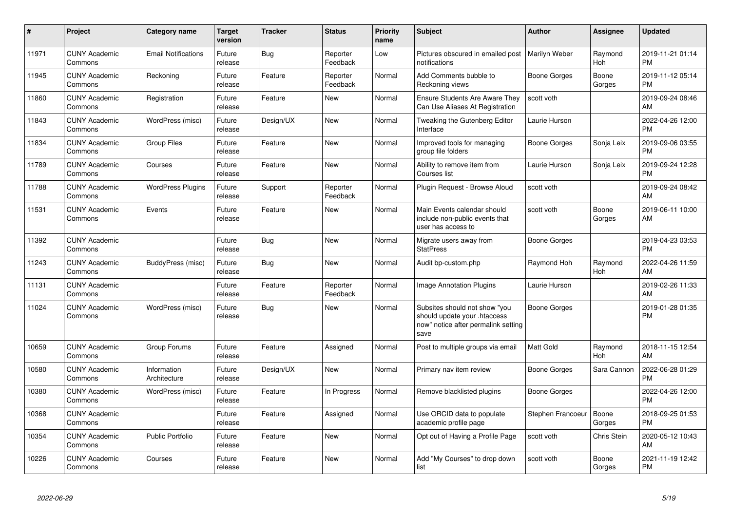| #     | Project                         | Category name               | <b>Target</b><br>version | <b>Tracker</b> | <b>Status</b>        | <b>Priority</b><br>name | <b>Subject</b>                                                                                               | <b>Author</b>     | Assignee              | <b>Updated</b>                |
|-------|---------------------------------|-----------------------------|--------------------------|----------------|----------------------|-------------------------|--------------------------------------------------------------------------------------------------------------|-------------------|-----------------------|-------------------------------|
| 11971 | <b>CUNY Academic</b><br>Commons | <b>Email Notifications</b>  | Future<br>release        | Bug            | Reporter<br>Feedback | Low                     | Pictures obscured in emailed post<br>notifications                                                           | Marilyn Weber     | Raymond<br>Hoh        | 2019-11-21 01:14<br><b>PM</b> |
| 11945 | <b>CUNY Academic</b><br>Commons | Reckoning                   | Future<br>release        | Feature        | Reporter<br>Feedback | Normal                  | Add Comments bubble to<br>Reckoning views                                                                    | Boone Gorges      | Boone<br>Gorges       | 2019-11-12 05:14<br><b>PM</b> |
| 11860 | <b>CUNY Academic</b><br>Commons | Registration                | Future<br>release        | Feature        | <b>New</b>           | Normal                  | <b>Ensure Students Are Aware They</b><br>Can Use Aliases At Registration                                     | scott voth        |                       | 2019-09-24 08:46<br>AM        |
| 11843 | <b>CUNY Academic</b><br>Commons | WordPress (misc)            | Future<br>release        | Design/UX      | <b>New</b>           | Normal                  | Tweaking the Gutenberg Editor<br>Interface                                                                   | Laurie Hurson     |                       | 2022-04-26 12:00<br><b>PM</b> |
| 11834 | <b>CUNY Academic</b><br>Commons | <b>Group Files</b>          | Future<br>release        | Feature        | <b>New</b>           | Normal                  | Improved tools for managing<br>group file folders                                                            | Boone Gorges      | Sonja Leix            | 2019-09-06 03:55<br><b>PM</b> |
| 11789 | <b>CUNY Academic</b><br>Commons | Courses                     | Future<br>release        | Feature        | New                  | Normal                  | Ability to remove item from<br>Courses list                                                                  | Laurie Hurson     | Sonja Leix            | 2019-09-24 12:28<br><b>PM</b> |
| 11788 | <b>CUNY Academic</b><br>Commons | <b>WordPress Plugins</b>    | Future<br>release        | Support        | Reporter<br>Feedback | Normal                  | Plugin Request - Browse Aloud                                                                                | scott voth        |                       | 2019-09-24 08:42<br>AM        |
| 11531 | <b>CUNY Academic</b><br>Commons | Events                      | Future<br>release        | Feature        | <b>New</b>           | Normal                  | Main Events calendar should<br>include non-public events that<br>user has access to                          | scott voth        | Boone<br>Gorges       | 2019-06-11 10:00<br>AM        |
| 11392 | <b>CUNY Academic</b><br>Commons |                             | Future<br>release        | <b>Bug</b>     | <b>New</b>           | Normal                  | Migrate users away from<br><b>StatPress</b>                                                                  | Boone Gorges      |                       | 2019-04-23 03:53<br><b>PM</b> |
| 11243 | <b>CUNY Academic</b><br>Commons | BuddyPress (misc)           | Future<br>release        | <b>Bug</b>     | <b>New</b>           | Normal                  | Audit bp-custom.php                                                                                          | Raymond Hoh       | Raymond<br>Hoh        | 2022-04-26 11:59<br>AM        |
| 11131 | <b>CUNY Academic</b><br>Commons |                             | Future<br>release        | Feature        | Reporter<br>Feedback | Normal                  | <b>Image Annotation Plugins</b>                                                                              | Laurie Hurson     |                       | 2019-02-26 11:33<br>AM        |
| 11024 | <b>CUNY Academic</b><br>Commons | WordPress (misc)            | Future<br>release        | Bug            | New                  | Normal                  | Subsites should not show "you<br>should update your .htaccess<br>now" notice after permalink setting<br>save | Boone Gorges      |                       | 2019-01-28 01:35<br><b>PM</b> |
| 10659 | <b>CUNY Academic</b><br>Commons | Group Forums                | Future<br>release        | Feature        | Assigned             | Normal                  | Post to multiple groups via email                                                                            | Matt Gold         | Raymond<br><b>Hoh</b> | 2018-11-15 12:54<br>AM        |
| 10580 | <b>CUNY Academic</b><br>Commons | Information<br>Architecture | Future<br>release        | Design/UX      | New                  | Normal                  | Primary nav item review                                                                                      | Boone Gorges      | Sara Cannon           | 2022-06-28 01:29<br><b>PM</b> |
| 10380 | <b>CUNY Academic</b><br>Commons | WordPress (misc)            | Future<br>release        | Feature        | In Progress          | Normal                  | Remove blacklisted plugins                                                                                   | Boone Gorges      |                       | 2022-04-26 12:00<br><b>PM</b> |
| 10368 | <b>CUNY Academic</b><br>Commons |                             | Future<br>release        | Feature        | Assigned             | Normal                  | Use ORCID data to populate<br>academic profile page                                                          | Stephen Francoeur | Boone<br>Gorges       | 2018-09-25 01:53<br><b>PM</b> |
| 10354 | <b>CUNY Academic</b><br>Commons | <b>Public Portfolio</b>     | Future<br>release        | Feature        | <b>New</b>           | Normal                  | Opt out of Having a Profile Page                                                                             | scott voth        | Chris Stein           | 2020-05-12 10:43<br>AM        |
| 10226 | <b>CUNY Academic</b><br>Commons | Courses                     | Future<br>release        | Feature        | <b>New</b>           | Normal                  | Add "My Courses" to drop down<br>list                                                                        | scott voth        | Boone<br>Gorges       | 2021-11-19 12:42<br><b>PM</b> |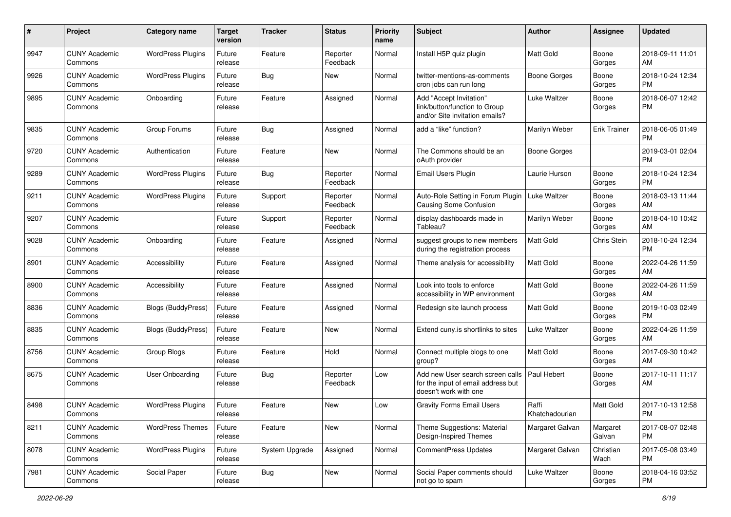| #    | Project                         | <b>Category name</b>      | <b>Target</b><br>version | <b>Tracker</b> | <b>Status</b>        | <b>Priority</b><br>name | Subject                                                                                         | Author                  | <b>Assignee</b>     | <b>Updated</b>                |
|------|---------------------------------|---------------------------|--------------------------|----------------|----------------------|-------------------------|-------------------------------------------------------------------------------------------------|-------------------------|---------------------|-------------------------------|
| 9947 | <b>CUNY Academic</b><br>Commons | <b>WordPress Plugins</b>  | Future<br>release        | Feature        | Reporter<br>Feedback | Normal                  | Install H5P quiz plugin                                                                         | <b>Matt Gold</b>        | Boone<br>Gorges     | 2018-09-11 11:01<br>AM        |
| 9926 | <b>CUNY Academic</b><br>Commons | <b>WordPress Plugins</b>  | Future<br>release        | <b>Bug</b>     | New                  | Normal                  | twitter-mentions-as-comments<br>cron jobs can run long                                          | <b>Boone Gorges</b>     | Boone<br>Gorges     | 2018-10-24 12:34<br><b>PM</b> |
| 9895 | <b>CUNY Academic</b><br>Commons | Onboarding                | Future<br>release        | Feature        | Assigned             | Normal                  | Add "Accept Invitation"<br>link/button/function to Group<br>and/or Site invitation emails?      | Luke Waltzer            | Boone<br>Gorges     | 2018-06-07 12:42<br><b>PM</b> |
| 9835 | <b>CUNY Academic</b><br>Commons | Group Forums              | Future<br>release        | <b>Bug</b>     | Assigned             | Normal                  | add a "like" function?                                                                          | Marilyn Weber           | <b>Erik Trainer</b> | 2018-06-05 01:49<br><b>PM</b> |
| 9720 | <b>CUNY Academic</b><br>Commons | Authentication            | Future<br>release        | Feature        | New                  | Normal                  | The Commons should be an<br>oAuth provider                                                      | <b>Boone Gorges</b>     |                     | 2019-03-01 02:04<br><b>PM</b> |
| 9289 | <b>CUNY Academic</b><br>Commons | <b>WordPress Plugins</b>  | Future<br>release        | <b>Bug</b>     | Reporter<br>Feedback | Normal                  | <b>Email Users Plugin</b>                                                                       | Laurie Hurson           | Boone<br>Gorges     | 2018-10-24 12:34<br><b>PM</b> |
| 9211 | <b>CUNY Academic</b><br>Commons | <b>WordPress Plugins</b>  | Future<br>release        | Support        | Reporter<br>Feedback | Normal                  | Auto-Role Setting in Forum Plugin<br>Causing Some Confusion                                     | <b>Luke Waltzer</b>     | Boone<br>Gorges     | 2018-03-13 11:44<br>AM        |
| 9207 | <b>CUNY Academic</b><br>Commons |                           | Future<br>release        | Support        | Reporter<br>Feedback | Normal                  | display dashboards made in<br>Tableau?                                                          | Marilyn Weber           | Boone<br>Gorges     | 2018-04-10 10:42<br>AM        |
| 9028 | <b>CUNY Academic</b><br>Commons | Onboarding                | Future<br>release        | Feature        | Assigned             | Normal                  | suggest groups to new members<br>during the registration process                                | <b>Matt Gold</b>        | Chris Stein         | 2018-10-24 12:34<br><b>PM</b> |
| 8901 | <b>CUNY Academic</b><br>Commons | Accessibility             | Future<br>release        | Feature        | Assigned             | Normal                  | Theme analysis for accessibility                                                                | Matt Gold               | Boone<br>Gorges     | 2022-04-26 11:59<br>AM        |
| 8900 | <b>CUNY Academic</b><br>Commons | Accessibility             | Future<br>release        | Feature        | Assigned             | Normal                  | Look into tools to enforce<br>accessibility in WP environment                                   | Matt Gold               | Boone<br>Gorges     | 2022-04-26 11:59<br>AM        |
| 8836 | <b>CUNY Academic</b><br>Commons | <b>Blogs (BuddyPress)</b> | Future<br>release        | Feature        | Assigned             | Normal                  | Redesign site launch process                                                                    | Matt Gold               | Boone<br>Gorges     | 2019-10-03 02:49<br><b>PM</b> |
| 8835 | <b>CUNY Academic</b><br>Commons | <b>Blogs (BuddyPress)</b> | Future<br>release        | Feature        | <b>New</b>           | Normal                  | Extend cuny.is shortlinks to sites                                                              | Luke Waltzer            | Boone<br>Gorges     | 2022-04-26 11:59<br>AM        |
| 8756 | <b>CUNY Academic</b><br>Commons | Group Blogs               | Future<br>release        | Feature        | Hold                 | Normal                  | Connect multiple blogs to one<br>group?                                                         | Matt Gold               | Boone<br>Gorges     | 2017-09-30 10:42<br>AM        |
| 8675 | <b>CUNY Academic</b><br>Commons | <b>User Onboarding</b>    | Future<br>release        | <b>Bug</b>     | Reporter<br>Feedback | Low                     | Add new User search screen calls<br>for the input of email address but<br>doesn't work with one | Paul Hebert             | Boone<br>Gorges     | 2017-10-11 11:17<br>AM        |
| 8498 | <b>CUNY Academic</b><br>Commons | <b>WordPress Plugins</b>  | Future<br>release        | Feature        | New                  | Low                     | <b>Gravity Forms Email Users</b>                                                                | Raffi<br>Khatchadourian | <b>Matt Gold</b>    | 2017-10-13 12:58<br><b>PM</b> |
| 8211 | <b>CUNY Academic</b><br>Commons | <b>WordPress Themes</b>   | Future<br>release        | Feature        | New                  | Normal                  | Theme Suggestions: Material<br>Design-Inspired Themes                                           | Margaret Galvan         | Margaret<br>Galvan  | 2017-08-07 02:48<br>PM        |
| 8078 | <b>CUNY Academic</b><br>Commons | <b>WordPress Plugins</b>  | Future<br>release        | System Upgrade | Assigned             | Normal                  | CommentPress Updates                                                                            | Margaret Galvan         | Christian<br>Wach   | 2017-05-08 03:49<br>PM        |
| 7981 | <b>CUNY Academic</b><br>Commons | Social Paper              | Future<br>release        | <b>Bug</b>     | New                  | Normal                  | Social Paper comments should<br>not go to spam                                                  | Luke Waltzer            | Boone<br>Gorges     | 2018-04-16 03:52<br>PM        |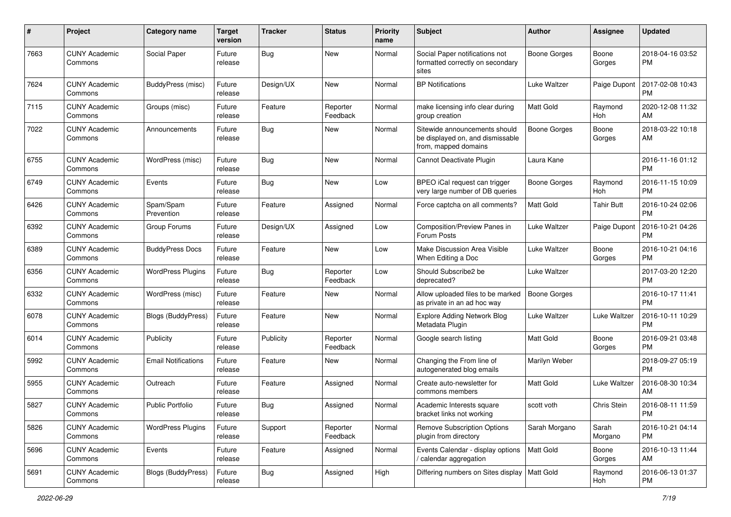| #    | Project                         | <b>Category name</b>       | <b>Target</b><br>version | <b>Tracker</b> | <b>Status</b>        | <b>Priority</b><br>name | Subject                                                                                   | Author              | <b>Assignee</b>     | <b>Updated</b>                |
|------|---------------------------------|----------------------------|--------------------------|----------------|----------------------|-------------------------|-------------------------------------------------------------------------------------------|---------------------|---------------------|-------------------------------|
| 7663 | <b>CUNY Academic</b><br>Commons | Social Paper               | Future<br>release        | Bug            | New                  | Normal                  | Social Paper notifications not<br>formatted correctly on secondary<br>sites               | <b>Boone Gorges</b> | Boone<br>Gorges     | 2018-04-16 03:52<br>РM        |
| 7624 | <b>CUNY Academic</b><br>Commons | <b>BuddyPress (misc)</b>   | Future<br>release        | Design/UX      | New                  | Normal                  | <b>BP</b> Notifications                                                                   | <b>Luke Waltzer</b> | Paige Dupont        | 2017-02-08 10:43<br>РM        |
| 7115 | <b>CUNY Academic</b><br>Commons | Groups (misc)              | Future<br>release        | Feature        | Reporter<br>Feedback | Normal                  | make licensing info clear during<br>group creation                                        | <b>Matt Gold</b>    | Raymond<br>Hoh      | 2020-12-08 11:32<br>AM        |
| 7022 | <b>CUNY Academic</b><br>Commons | Announcements              | Future<br>release        | Bug            | New                  | Normal                  | Sitewide announcements should<br>be displayed on, and dismissable<br>from, mapped domains | <b>Boone Gorges</b> | Boone<br>Gorges     | 2018-03-22 10:18<br>AM        |
| 6755 | <b>CUNY Academic</b><br>Commons | WordPress (misc)           | Future<br>release        | Bug            | New                  | Normal                  | Cannot Deactivate Plugin                                                                  | Laura Kane          |                     | 2016-11-16 01:12<br>PM        |
| 6749 | <b>CUNY Academic</b><br>Commons | Events                     | Future<br>release        | Bug            | New                  | Low                     | BPEO iCal request can trigger<br>very large number of DB queries                          | Boone Gorges        | Raymond<br>Hoh      | 2016-11-15 10:09<br><b>PM</b> |
| 6426 | <b>CUNY Academic</b><br>Commons | Spam/Spam<br>Prevention    | Future<br>release        | Feature        | Assigned             | Normal                  | Force captcha on all comments?                                                            | Matt Gold           | <b>Tahir Butt</b>   | 2016-10-24 02:06<br><b>PM</b> |
| 6392 | <b>CUNY Academic</b><br>Commons | Group Forums               | Future<br>release        | Design/UX      | Assigned             | Low                     | Composition/Preview Panes in<br>Forum Posts                                               | Luke Waltzer        | Paige Dupont        | 2016-10-21 04:26<br>PM        |
| 6389 | <b>CUNY Academic</b><br>Commons | <b>BuddyPress Docs</b>     | Future<br>release        | Feature        | <b>New</b>           | Low                     | Make Discussion Area Visible<br>When Editing a Doc                                        | Luke Waltzer        | Boone<br>Gorges     | 2016-10-21 04:16<br>PM        |
| 6356 | <b>CUNY Academic</b><br>Commons | <b>WordPress Plugins</b>   | Future<br>release        | Bug            | Reporter<br>Feedback | Low                     | Should Subscribe2 be<br>deprecated?                                                       | <b>Luke Waltzer</b> |                     | 2017-03-20 12:20<br><b>PM</b> |
| 6332 | <b>CUNY Academic</b><br>Commons | WordPress (misc)           | Future<br>release        | Feature        | New                  | Normal                  | Allow uploaded files to be marked<br>as private in an ad hoc way                          | <b>Boone Gorges</b> |                     | 2016-10-17 11:41<br><b>PM</b> |
| 6078 | <b>CUNY Academic</b><br>Commons | <b>Blogs (BuddyPress)</b>  | Future<br>release        | Feature        | <b>New</b>           | Normal                  | <b>Explore Adding Network Blog</b><br>Metadata Plugin                                     | <b>Luke Waltzer</b> | <b>Luke Waltzer</b> | 2016-10-11 10:29<br>PM        |
| 6014 | <b>CUNY Academic</b><br>Commons | Publicity                  | Future<br>release        | Publicity      | Reporter<br>Feedback | Normal                  | Google search listing                                                                     | <b>Matt Gold</b>    | Boone<br>Gorges     | 2016-09-21 03:48<br><b>PM</b> |
| 5992 | <b>CUNY Academic</b><br>Commons | <b>Email Notifications</b> | Future<br>release        | Feature        | New                  | Normal                  | Changing the From line of<br>autogenerated blog emails                                    | Marilyn Weber       |                     | 2018-09-27 05:19<br><b>PM</b> |
| 5955 | <b>CUNY Academic</b><br>Commons | Outreach                   | Future<br>release        | Feature        | Assigned             | Normal                  | Create auto-newsletter for<br>commons members                                             | Matt Gold           | Luke Waltzer        | 2016-08-30 10:34<br>AM        |
| 5827 | <b>CUNY Academic</b><br>Commons | <b>Public Portfolio</b>    | Future<br>release        | Bug            | Assigned             | Normal                  | Academic Interests square<br>bracket links not working                                    | scott voth          | Chris Stein         | 2016-08-11 11:59<br>PM        |
| 5826 | <b>CUNY Academic</b><br>Commons | <b>WordPress Plugins</b>   | Future<br>release        | Support        | Reporter<br>Feedback | Normal                  | <b>Remove Subscription Options</b><br>plugin from directory                               | Sarah Morgano       | Sarah<br>Morgano    | 2016-10-21 04:14<br>PM        |
| 5696 | <b>CUNY Academic</b><br>Commons | Events                     | Future<br>release        | Feature        | Assigned             | Normal                  | Events Calendar - display options<br>/ calendar aggregation                               | Matt Gold           | Boone<br>Gorges     | 2016-10-13 11:44<br>AM        |
| 5691 | <b>CUNY Academic</b><br>Commons | <b>Blogs (BuddyPress)</b>  | Future<br>release        | <b>Bug</b>     | Assigned             | High                    | Differing numbers on Sites display   Matt Gold                                            |                     | Raymond<br>Hoh      | 2016-06-13 01:37<br><b>PM</b> |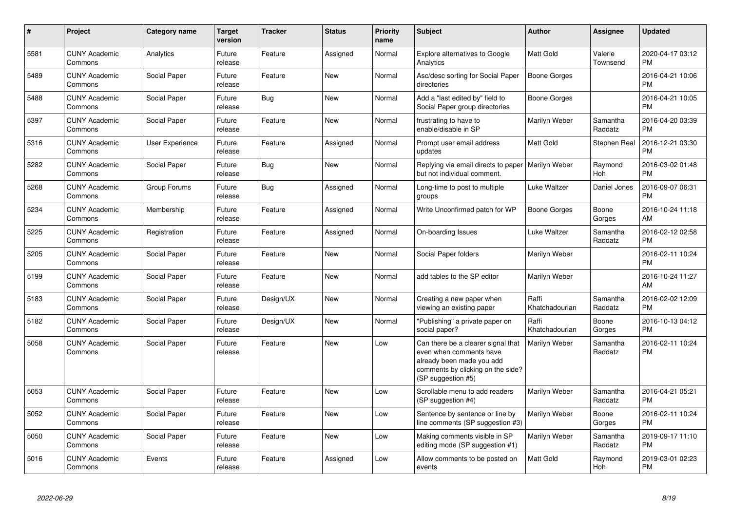| $\#$ | Project                         | Category name          | <b>Target</b><br>version | <b>Tracker</b> | <b>Status</b> | <b>Priority</b><br>name | <b>Subject</b>                                                                                                                                        | Author                  | Assignee            | <b>Updated</b>                |
|------|---------------------------------|------------------------|--------------------------|----------------|---------------|-------------------------|-------------------------------------------------------------------------------------------------------------------------------------------------------|-------------------------|---------------------|-------------------------------|
| 5581 | <b>CUNY Academic</b><br>Commons | Analytics              | Future<br>release        | Feature        | Assigned      | Normal                  | <b>Explore alternatives to Google</b><br>Analytics                                                                                                    | <b>Matt Gold</b>        | Valerie<br>Townsend | 2020-04-17 03:12<br><b>PM</b> |
| 5489 | <b>CUNY Academic</b><br>Commons | Social Paper           | Future<br>release        | Feature        | <b>New</b>    | Normal                  | Asc/desc sorting for Social Paper<br>directories                                                                                                      | <b>Boone Gorges</b>     |                     | 2016-04-21 10:06<br><b>PM</b> |
| 5488 | <b>CUNY Academic</b><br>Commons | Social Paper           | Future<br>release        | Bug            | <b>New</b>    | Normal                  | Add a "last edited by" field to<br>Social Paper group directories                                                                                     | Boone Gorges            |                     | 2016-04-21 10:05<br><b>PM</b> |
| 5397 | <b>CUNY Academic</b><br>Commons | Social Paper           | Future<br>release        | Feature        | <b>New</b>    | Normal                  | frustrating to have to<br>enable/disable in SP                                                                                                        | Marilyn Weber           | Samantha<br>Raddatz | 2016-04-20 03:39<br><b>PM</b> |
| 5316 | <b>CUNY Academic</b><br>Commons | <b>User Experience</b> | Future<br>release        | Feature        | Assigned      | Normal                  | Prompt user email address<br>updates                                                                                                                  | <b>Matt Gold</b>        | Stephen Real        | 2016-12-21 03:30<br><b>PM</b> |
| 5282 | <b>CUNY Academic</b><br>Commons | Social Paper           | Future<br>release        | <b>Bug</b>     | <b>New</b>    | Normal                  | Replying via email directs to paper   Marilyn Weber<br>but not individual comment.                                                                    |                         | Raymond<br>Hoh      | 2016-03-02 01:48<br><b>PM</b> |
| 5268 | <b>CUNY Academic</b><br>Commons | Group Forums           | Future<br>release        | <b>Bug</b>     | Assigned      | Normal                  | Long-time to post to multiple<br>groups                                                                                                               | Luke Waltzer            | Daniel Jones        | 2016-09-07 06:31<br><b>PM</b> |
| 5234 | <b>CUNY Academic</b><br>Commons | Membership             | Future<br>release        | Feature        | Assigned      | Normal                  | Write Unconfirmed patch for WP                                                                                                                        | <b>Boone Gorges</b>     | Boone<br>Gorges     | 2016-10-24 11:18<br>AM        |
| 5225 | <b>CUNY Academic</b><br>Commons | Registration           | Future<br>release        | Feature        | Assigned      | Normal                  | On-boarding Issues                                                                                                                                    | Luke Waltzer            | Samantha<br>Raddatz | 2016-02-12 02:58<br><b>PM</b> |
| 5205 | <b>CUNY Academic</b><br>Commons | Social Paper           | Future<br>release        | Feature        | <b>New</b>    | Normal                  | Social Paper folders                                                                                                                                  | Marilyn Weber           |                     | 2016-02-11 10:24<br><b>PM</b> |
| 5199 | <b>CUNY Academic</b><br>Commons | Social Paper           | Future<br>release        | Feature        | <b>New</b>    | Normal                  | add tables to the SP editor                                                                                                                           | Marilyn Weber           |                     | 2016-10-24 11:27<br>AM        |
| 5183 | <b>CUNY Academic</b><br>Commons | Social Paper           | Future<br>release        | Design/UX      | <b>New</b>    | Normal                  | Creating a new paper when<br>viewing an existing paper                                                                                                | Raffi<br>Khatchadourian | Samantha<br>Raddatz | 2016-02-02 12:09<br><b>PM</b> |
| 5182 | <b>CUNY Academic</b><br>Commons | Social Paper           | Future<br>release        | Design/UX      | <b>New</b>    | Normal                  | 'Publishing" a private paper on<br>social paper?                                                                                                      | Raffi<br>Khatchadourian | Boone<br>Gorges     | 2016-10-13 04:12<br><b>PM</b> |
| 5058 | <b>CUNY Academic</b><br>Commons | Social Paper           | Future<br>release        | Feature        | <b>New</b>    | Low                     | Can there be a clearer signal that<br>even when comments have<br>already been made you add<br>comments by clicking on the side?<br>(SP suggestion #5) | Marilyn Weber           | Samantha<br>Raddatz | 2016-02-11 10:24<br><b>PM</b> |
| 5053 | <b>CUNY Academic</b><br>Commons | Social Paper           | Future<br>release        | Feature        | <b>New</b>    | Low                     | Scrollable menu to add readers<br>(SP suggestion #4)                                                                                                  | Marilyn Weber           | Samantha<br>Raddatz | 2016-04-21 05:21<br><b>PM</b> |
| 5052 | <b>CUNY Academic</b><br>Commons | Social Paper           | Future<br>release        | Feature        | <b>New</b>    | Low                     | Sentence by sentence or line by<br>line comments (SP suggestion #3)                                                                                   | Marilyn Weber           | Boone<br>Gorges     | 2016-02-11 10:24<br><b>PM</b> |
| 5050 | <b>CUNY Academic</b><br>Commons | Social Paper           | Future<br>release        | Feature        | <b>New</b>    | Low                     | Making comments visible in SP<br>editing mode (SP suggestion #1)                                                                                      | Marilyn Weber           | Samantha<br>Raddatz | 2019-09-17 11:10<br><b>PM</b> |
| 5016 | <b>CUNY Academic</b><br>Commons | Events                 | Future<br>release        | Feature        | Assigned      | Low                     | Allow comments to be posted on<br>events                                                                                                              | <b>Matt Gold</b>        | Raymond<br>Hoh      | 2019-03-01 02:23<br>PM        |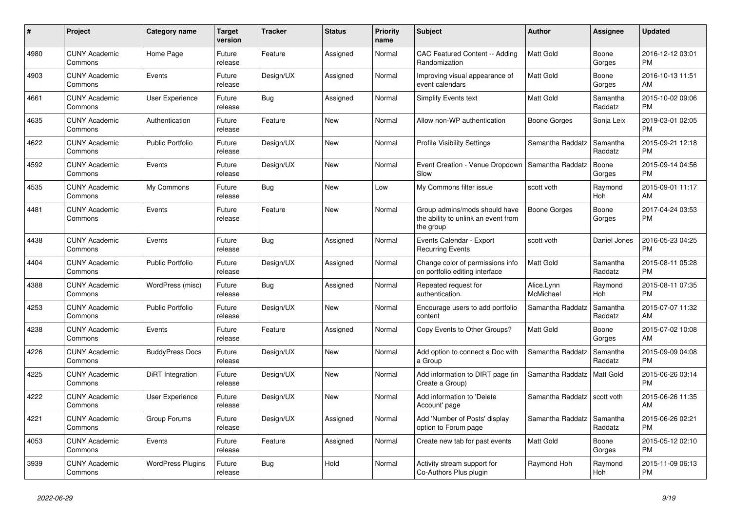| #    | <b>Project</b>                  | Category name            | Target<br>version | <b>Tracker</b> | <b>Status</b> | <b>Priority</b><br>name | <b>Subject</b>                                                                    | <b>Author</b>           | Assignee              | <b>Updated</b>                |
|------|---------------------------------|--------------------------|-------------------|----------------|---------------|-------------------------|-----------------------------------------------------------------------------------|-------------------------|-----------------------|-------------------------------|
| 4980 | <b>CUNY Academic</b><br>Commons | Home Page                | Future<br>release | Feature        | Assigned      | Normal                  | CAC Featured Content -- Adding<br>Randomization                                   | <b>Matt Gold</b>        | Boone<br>Gorges       | 2016-12-12 03:01<br><b>PM</b> |
| 4903 | <b>CUNY Academic</b><br>Commons | Events                   | Future<br>release | Design/UX      | Assigned      | Normal                  | Improving visual appearance of<br>event calendars                                 | <b>Matt Gold</b>        | Boone<br>Gorges       | 2016-10-13 11:51<br>AM        |
| 4661 | <b>CUNY Academic</b><br>Commons | <b>User Experience</b>   | Future<br>release | <b>Bug</b>     | Assigned      | Normal                  | Simplify Events text                                                              | Matt Gold               | Samantha<br>Raddatz   | 2015-10-02 09:06<br><b>PM</b> |
| 4635 | <b>CUNY Academic</b><br>Commons | Authentication           | Future<br>release | Feature        | <b>New</b>    | Normal                  | Allow non-WP authentication                                                       | Boone Gorges            | Sonja Leix            | 2019-03-01 02:05<br><b>PM</b> |
| 4622 | <b>CUNY Academic</b><br>Commons | <b>Public Portfolio</b>  | Future<br>release | Design/UX      | New           | Normal                  | <b>Profile Visibility Settings</b>                                                | Samantha Raddatz        | Samantha<br>Raddatz   | 2015-09-21 12:18<br><b>PM</b> |
| 4592 | <b>CUNY Academic</b><br>Commons | Events                   | Future<br>release | Design/UX      | <b>New</b>    | Normal                  | Event Creation - Venue Dropdown<br>Slow                                           | Samantha Raddatz        | Boone<br>Gorges       | 2015-09-14 04:56<br><b>PM</b> |
| 4535 | <b>CUNY Academic</b><br>Commons | My Commons               | Future<br>release | <b>Bug</b>     | <b>New</b>    | Low                     | My Commons filter issue                                                           | scott voth              | Raymond<br><b>Hoh</b> | 2015-09-01 11:17<br>AM        |
| 4481 | <b>CUNY Academic</b><br>Commons | Events                   | Future<br>release | Feature        | <b>New</b>    | Normal                  | Group admins/mods should have<br>the ability to unlink an event from<br>the group | Boone Gorges            | Boone<br>Gorges       | 2017-04-24 03:53<br><b>PM</b> |
| 4438 | <b>CUNY Academic</b><br>Commons | Events                   | Future<br>release | Bug            | Assigned      | Normal                  | Events Calendar - Export<br><b>Recurring Events</b>                               | scott voth              | Daniel Jones          | 2016-05-23 04:25<br><b>PM</b> |
| 4404 | <b>CUNY Academic</b><br>Commons | <b>Public Portfolio</b>  | Future<br>release | Design/UX      | Assigned      | Normal                  | Change color of permissions info<br>on portfolio editing interface                | Matt Gold               | Samantha<br>Raddatz   | 2015-08-11 05:28<br><b>PM</b> |
| 4388 | <b>CUNY Academic</b><br>Commons | WordPress (misc)         | Future<br>release | Bug            | Assigned      | Normal                  | Repeated request for<br>authentication.                                           | Alice.Lynn<br>McMichael | Raymond<br>Hoh        | 2015-08-11 07:35<br><b>PM</b> |
| 4253 | <b>CUNY Academic</b><br>Commons | <b>Public Portfolio</b>  | Future<br>release | Design/UX      | New           | Normal                  | Encourage users to add portfolio<br>content                                       | Samantha Raddatz        | Samantha<br>Raddatz   | 2015-07-07 11:32<br>AM        |
| 4238 | <b>CUNY Academic</b><br>Commons | Events                   | Future<br>release | Feature        | Assigned      | Normal                  | Copy Events to Other Groups?                                                      | Matt Gold               | Boone<br>Gorges       | 2015-07-02 10:08<br>AM        |
| 4226 | <b>CUNY Academic</b><br>Commons | <b>BuddyPress Docs</b>   | Future<br>release | Design/UX      | <b>New</b>    | Normal                  | Add option to connect a Doc with<br>a Group                                       | Samantha Raddatz        | Samantha<br>Raddatz   | 2015-09-09 04:08<br><b>PM</b> |
| 4225 | <b>CUNY Academic</b><br>Commons | DiRT Integration         | Future<br>release | Design/UX      | New           | Normal                  | Add information to DIRT page (in<br>Create a Group)                               | Samantha Raddatz        | Matt Gold             | 2015-06-26 03:14<br><b>PM</b> |
| 4222 | <b>CUNY Academic</b><br>Commons | User Experience          | Future<br>release | Design/UX      | New           | Normal                  | Add information to 'Delete<br>Account' page                                       | Samantha Raddatz        | scott voth            | 2015-06-26 11:35<br>AM        |
| 4221 | <b>CUNY Academic</b><br>Commons | Group Forums             | Future<br>release | Design/UX      | Assigned      | Normal                  | Add 'Number of Posts' display<br>option to Forum page                             | Samantha Raddatz        | Samantha<br>Raddatz   | 2015-06-26 02:21<br><b>PM</b> |
| 4053 | <b>CUNY Academic</b><br>Commons | Events                   | Future<br>release | Feature        | Assigned      | Normal                  | Create new tab for past events                                                    | <b>Matt Gold</b>        | Boone<br>Gorges       | 2015-05-12 02:10<br><b>PM</b> |
| 3939 | <b>CUNY Academic</b><br>Commons | <b>WordPress Plugins</b> | Future<br>release | Bug            | Hold          | Normal                  | Activity stream support for<br>Co-Authors Plus plugin                             | Raymond Hoh             | Raymond<br>Hoh        | 2015-11-09 06:13<br><b>PM</b> |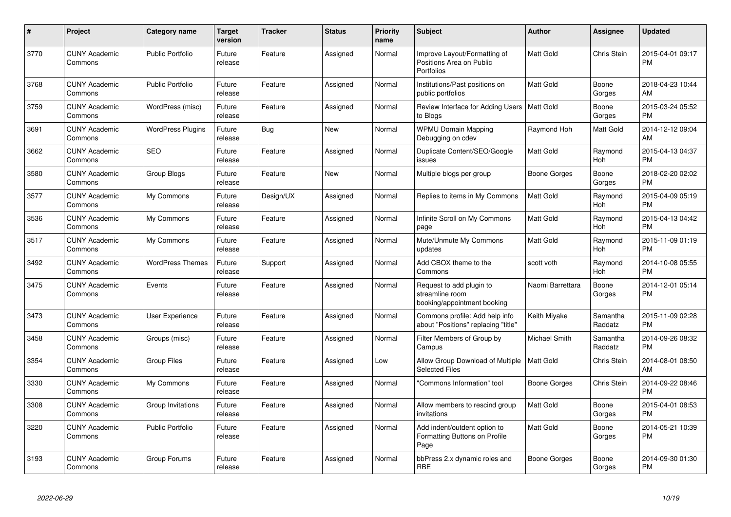| #    | <b>Project</b>                  | Category name            | <b>Target</b><br>version | <b>Tracker</b> | <b>Status</b> | <b>Priority</b><br>name | <b>Subject</b>                                                             | <b>Author</b>    | Assignee              | <b>Updated</b>                |
|------|---------------------------------|--------------------------|--------------------------|----------------|---------------|-------------------------|----------------------------------------------------------------------------|------------------|-----------------------|-------------------------------|
| 3770 | <b>CUNY Academic</b><br>Commons | <b>Public Portfolio</b>  | Future<br>release        | Feature        | Assigned      | Normal                  | Improve Layout/Formatting of<br>Positions Area on Public<br>Portfolios     | Matt Gold        | Chris Stein           | 2015-04-01 09:17<br><b>PM</b> |
| 3768 | <b>CUNY Academic</b><br>Commons | <b>Public Portfolio</b>  | Future<br>release        | Feature        | Assigned      | Normal                  | Institutions/Past positions on<br>public portfolios                        | Matt Gold        | Boone<br>Gorges       | 2018-04-23 10:44<br>AM        |
| 3759 | <b>CUNY Academic</b><br>Commons | WordPress (misc)         | Future<br>release        | Feature        | Assigned      | Normal                  | Review Interface for Adding Users   Matt Gold<br>to Blogs                  |                  | Boone<br>Gorges       | 2015-03-24 05:52<br><b>PM</b> |
| 3691 | <b>CUNY Academic</b><br>Commons | <b>WordPress Plugins</b> | Future<br>release        | <b>Bug</b>     | <b>New</b>    | Normal                  | <b>WPMU Domain Mapping</b><br>Debugging on cdev                            | Raymond Hoh      | <b>Matt Gold</b>      | 2014-12-12 09:04<br>AM        |
| 3662 | <b>CUNY Academic</b><br>Commons | <b>SEO</b>               | Future<br>release        | Feature        | Assigned      | Normal                  | Duplicate Content/SEO/Google<br>issues                                     | Matt Gold        | Raymond<br>Hoh        | 2015-04-13 04:37<br><b>PM</b> |
| 3580 | <b>CUNY Academic</b><br>Commons | Group Blogs              | Future<br>release        | Feature        | <b>New</b>    | Normal                  | Multiple blogs per group                                                   | Boone Gorges     | Boone<br>Gorges       | 2018-02-20 02:02<br><b>PM</b> |
| 3577 | <b>CUNY Academic</b><br>Commons | My Commons               | Future<br>release        | Design/UX      | Assigned      | Normal                  | Replies to items in My Commons                                             | <b>Matt Gold</b> | Raymond<br><b>Hoh</b> | 2015-04-09 05:19<br><b>PM</b> |
| 3536 | <b>CUNY Academic</b><br>Commons | My Commons               | Future<br>release        | Feature        | Assigned      | Normal                  | Infinite Scroll on My Commons<br>page                                      | Matt Gold        | Raymond<br>Hoh        | 2015-04-13 04:42<br><b>PM</b> |
| 3517 | <b>CUNY Academic</b><br>Commons | My Commons               | Future<br>release        | Feature        | Assigned      | Normal                  | Mute/Unmute My Commons<br>updates                                          | Matt Gold        | Raymond<br>Hoh        | 2015-11-09 01:19<br><b>PM</b> |
| 3492 | <b>CUNY Academic</b><br>Commons | <b>WordPress Themes</b>  | Future<br>release        | Support        | Assigned      | Normal                  | Add CBOX theme to the<br>Commons                                           | scott voth       | Raymond<br>Hoh        | 2014-10-08 05:55<br><b>PM</b> |
| 3475 | <b>CUNY Academic</b><br>Commons | Events                   | Future<br>release        | Feature        | Assigned      | Normal                  | Request to add plugin to<br>streamline room<br>booking/appointment booking | Naomi Barrettara | Boone<br>Gorges       | 2014-12-01 05:14<br><b>PM</b> |
| 3473 | <b>CUNY Academic</b><br>Commons | User Experience          | Future<br>release        | Feature        | Assigned      | Normal                  | Commons profile: Add help info<br>about "Positions" replacing "title"      | Keith Miyake     | Samantha<br>Raddatz   | 2015-11-09 02:28<br><b>PM</b> |
| 3458 | <b>CUNY Academic</b><br>Commons | Groups (misc)            | Future<br>release        | Feature        | Assigned      | Normal                  | Filter Members of Group by<br>Campus                                       | Michael Smith    | Samantha<br>Raddatz   | 2014-09-26 08:32<br><b>PM</b> |
| 3354 | <b>CUNY Academic</b><br>Commons | Group Files              | Future<br>release        | Feature        | Assigned      | Low                     | Allow Group Download of Multiple<br><b>Selected Files</b>                  | Matt Gold        | Chris Stein           | 2014-08-01 08:50<br>AM        |
| 3330 | <b>CUNY Academic</b><br>Commons | My Commons               | Future<br>release        | Feature        | Assigned      | Normal                  | 'Commons Information" tool                                                 | Boone Gorges     | Chris Stein           | 2014-09-22 08:46<br><b>PM</b> |
| 3308 | <b>CUNY Academic</b><br>Commons | Group Invitations        | Future<br>release        | Feature        | Assigned      | Normal                  | Allow members to rescind group<br>invitations                              | Matt Gold        | Boone<br>Gorges       | 2015-04-01 08:53<br><b>PM</b> |
| 3220 | <b>CUNY Academic</b><br>Commons | <b>Public Portfolio</b>  | Future<br>release        | Feature        | Assigned      | Normal                  | Add indent/outdent option to<br>Formatting Buttons on Profile<br>Page      | Matt Gold        | Boone<br>Gorges       | 2014-05-21 10:39<br><b>PM</b> |
| 3193 | <b>CUNY Academic</b><br>Commons | Group Forums             | Future<br>release        | Feature        | Assigned      | Normal                  | bbPress 2.x dynamic roles and<br><b>RBE</b>                                | Boone Gorges     | Boone<br>Gorges       | 2014-09-30 01:30<br><b>PM</b> |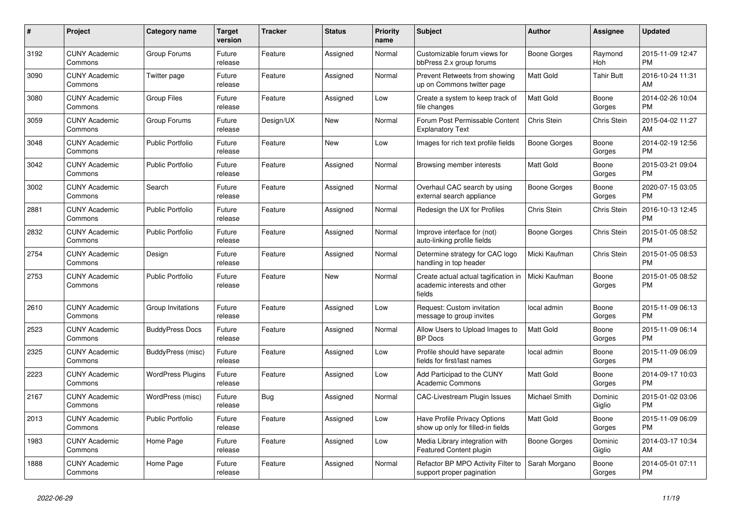| $\#$ | <b>Project</b>                  | Category name            | <b>Target</b><br>version | <b>Tracker</b> | <b>Status</b> | <b>Priority</b><br>name | <b>Subject</b>                                                                 | Author              | Assignee          | <b>Updated</b>                |
|------|---------------------------------|--------------------------|--------------------------|----------------|---------------|-------------------------|--------------------------------------------------------------------------------|---------------------|-------------------|-------------------------------|
| 3192 | <b>CUNY Academic</b><br>Commons | Group Forums             | Future<br>release        | Feature        | Assigned      | Normal                  | Customizable forum views for<br>bbPress 2.x group forums                       | Boone Gorges        | Raymond<br>Hoh    | 2015-11-09 12:47<br><b>PM</b> |
| 3090 | <b>CUNY Academic</b><br>Commons | Twitter page             | Future<br>release        | Feature        | Assigned      | Normal                  | Prevent Retweets from showing<br>up on Commons twitter page                    | <b>Matt Gold</b>    | <b>Tahir Butt</b> | 2016-10-24 11:31<br>AM        |
| 3080 | <b>CUNY Academic</b><br>Commons | Group Files              | Future<br>release        | Feature        | Assigned      | Low                     | Create a system to keep track of<br>file changes                               | Matt Gold           | Boone<br>Gorges   | 2014-02-26 10:04<br><b>PM</b> |
| 3059 | <b>CUNY Academic</b><br>Commons | Group Forums             | Future<br>release        | Design/UX      | <b>New</b>    | Normal                  | Forum Post Permissable Content<br><b>Explanatory Text</b>                      | Chris Stein         | Chris Stein       | 2015-04-02 11:27<br>AM        |
| 3048 | <b>CUNY Academic</b><br>Commons | <b>Public Portfolio</b>  | Future<br>release        | Feature        | <b>New</b>    | Low                     | Images for rich text profile fields                                            | Boone Gorges        | Boone<br>Gorges   | 2014-02-19 12:56<br><b>PM</b> |
| 3042 | <b>CUNY Academic</b><br>Commons | <b>Public Portfolio</b>  | Future<br>release        | Feature        | Assigned      | Normal                  | Browsing member interests                                                      | Matt Gold           | Boone<br>Gorges   | 2015-03-21 09:04<br><b>PM</b> |
| 3002 | <b>CUNY Academic</b><br>Commons | Search                   | Future<br>release        | Feature        | Assigned      | Normal                  | Overhaul CAC search by using<br>external search appliance                      | <b>Boone Gorges</b> | Boone<br>Gorges   | 2020-07-15 03:05<br><b>PM</b> |
| 2881 | <b>CUNY Academic</b><br>Commons | <b>Public Portfolio</b>  | Future<br>release        | Feature        | Assigned      | Normal                  | Redesign the UX for Profiles                                                   | Chris Stein         | Chris Stein       | 2016-10-13 12:45<br><b>PM</b> |
| 2832 | <b>CUNY Academic</b><br>Commons | <b>Public Portfolio</b>  | Future<br>release        | Feature        | Assigned      | Normal                  | Improve interface for (not)<br>auto-linking profile fields                     | Boone Gorges        | Chris Stein       | 2015-01-05 08:52<br><b>PM</b> |
| 2754 | <b>CUNY Academic</b><br>Commons | Design                   | Future<br>release        | Feature        | Assigned      | Normal                  | Determine strategy for CAC logo<br>handling in top header                      | Micki Kaufman       | Chris Stein       | 2015-01-05 08:53<br><b>PM</b> |
| 2753 | <b>CUNY Academic</b><br>Commons | <b>Public Portfolio</b>  | Future<br>release        | Feature        | <b>New</b>    | Normal                  | Create actual actual tagification in<br>academic interests and other<br>fields | Micki Kaufman       | Boone<br>Gorges   | 2015-01-05 08:52<br><b>PM</b> |
| 2610 | <b>CUNY Academic</b><br>Commons | Group Invitations        | Future<br>release        | Feature        | Assigned      | Low                     | Request: Custom invitation<br>message to group invites                         | local admin         | Boone<br>Gorges   | 2015-11-09 06:13<br><b>PM</b> |
| 2523 | <b>CUNY Academic</b><br>Commons | <b>BuddyPress Docs</b>   | Future<br>release        | Feature        | Assigned      | Normal                  | Allow Users to Upload Images to<br><b>BP</b> Docs                              | <b>Matt Gold</b>    | Boone<br>Gorges   | 2015-11-09 06:14<br><b>PM</b> |
| 2325 | <b>CUNY Academic</b><br>Commons | BuddyPress (misc)        | Future<br>release        | Feature        | Assigned      | Low                     | Profile should have separate<br>fields for first/last names                    | local admin         | Boone<br>Gorges   | 2015-11-09 06:09<br><b>PM</b> |
| 2223 | <b>CUNY Academic</b><br>Commons | <b>WordPress Plugins</b> | Future<br>release        | Feature        | Assigned      | Low                     | Add Participad to the CUNY<br><b>Academic Commons</b>                          | <b>Matt Gold</b>    | Boone<br>Gorges   | 2014-09-17 10:03<br><b>PM</b> |
| 2167 | <b>CUNY Academic</b><br>Commons | WordPress (misc)         | Future<br>release        | <b>Bug</b>     | Assigned      | Normal                  | CAC-Livestream Plugin Issues                                                   | Michael Smith       | Dominic<br>Giglio | 2015-01-02 03:06<br><b>PM</b> |
| 2013 | <b>CUNY Academic</b><br>Commons | <b>Public Portfolio</b>  | Future<br>release        | Feature        | Assigned      | Low                     | <b>Have Profile Privacy Options</b><br>show up only for filled-in fields       | <b>Matt Gold</b>    | Boone<br>Gorges   | 2015-11-09 06:09<br><b>PM</b> |
| 1983 | <b>CUNY Academic</b><br>Commons | Home Page                | Future<br>release        | Feature        | Assigned      | Low                     | Media Library integration with<br>Featured Content plugin                      | Boone Gorges        | Dominic<br>Giglio | 2014-03-17 10:34<br>AM        |
| 1888 | <b>CUNY Academic</b><br>Commons | Home Page                | Future<br>release        | Feature        | Assigned      | Normal                  | Refactor BP MPO Activity Filter to<br>support proper pagination                | Sarah Morgano       | Boone<br>Gorges   | 2014-05-01 07:11<br><b>PM</b> |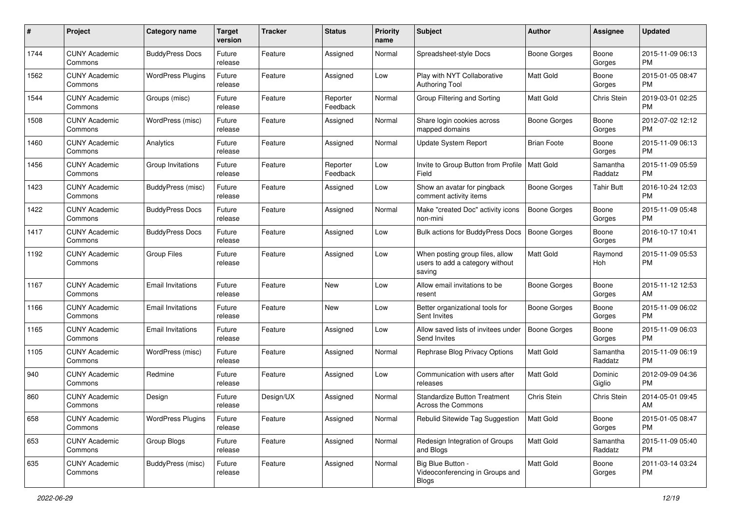| #    | Project                         | <b>Category name</b>     | <b>Target</b><br>version | <b>Tracker</b> | <b>Status</b>        | <b>Priority</b><br>name | Subject                                                                      | Author              | <b>Assignee</b>     | <b>Updated</b>                |
|------|---------------------------------|--------------------------|--------------------------|----------------|----------------------|-------------------------|------------------------------------------------------------------------------|---------------------|---------------------|-------------------------------|
| 1744 | <b>CUNY Academic</b><br>Commons | <b>BuddyPress Docs</b>   | Future<br>release        | Feature        | Assigned             | Normal                  | Spreadsheet-style Docs                                                       | <b>Boone Gorges</b> | Boone<br>Gorges     | 2015-11-09 06:13<br><b>PM</b> |
| 1562 | <b>CUNY Academic</b><br>Commons | <b>WordPress Plugins</b> | Future<br>release        | Feature        | Assigned             | Low                     | Play with NYT Collaborative<br><b>Authoring Tool</b>                         | <b>Matt Gold</b>    | Boone<br>Gorges     | 2015-01-05 08:47<br><b>PM</b> |
| 1544 | <b>CUNY Academic</b><br>Commons | Groups (misc)            | Future<br>release        | Feature        | Reporter<br>Feedback | Normal                  | Group Filtering and Sorting                                                  | Matt Gold           | Chris Stein         | 2019-03-01 02:25<br>PM        |
| 1508 | <b>CUNY Academic</b><br>Commons | WordPress (misc)         | Future<br>release        | Feature        | Assigned             | Normal                  | Share login cookies across<br>mapped domains                                 | Boone Gorges        | Boone<br>Gorges     | 2012-07-02 12:12<br><b>PM</b> |
| 1460 | <b>CUNY Academic</b><br>Commons | Analytics                | Future<br>release        | Feature        | Assigned             | Normal                  | <b>Update System Report</b>                                                  | <b>Brian Foote</b>  | Boone<br>Gorges     | 2015-11-09 06:13<br><b>PM</b> |
| 1456 | <b>CUNY Academic</b><br>Commons | Group Invitations        | Future<br>release        | Feature        | Reporter<br>Feedback | Low                     | Invite to Group Button from Profile   Matt Gold<br>Field                     |                     | Samantha<br>Raddatz | 2015-11-09 05:59<br><b>PM</b> |
| 1423 | <b>CUNY Academic</b><br>Commons | BuddyPress (misc)        | Future<br>release        | Feature        | Assigned             | Low                     | Show an avatar for pingback<br>comment activity items                        | <b>Boone Gorges</b> | <b>Tahir Butt</b>   | 2016-10-24 12:03<br><b>PM</b> |
| 1422 | <b>CUNY Academic</b><br>Commons | <b>BuddyPress Docs</b>   | Future<br>release        | Feature        | Assigned             | Normal                  | Make "created Doc" activity icons<br>non-mini                                | <b>Boone Gorges</b> | Boone<br>Gorges     | 2015-11-09 05:48<br><b>PM</b> |
| 1417 | <b>CUNY Academic</b><br>Commons | <b>BuddyPress Docs</b>   | Future<br>release        | Feature        | Assigned             | Low                     | Bulk actions for BuddyPress Docs                                             | <b>Boone Gorges</b> | Boone<br>Gorges     | 2016-10-17 10:41<br><b>PM</b> |
| 1192 | <b>CUNY Academic</b><br>Commons | <b>Group Files</b>       | Future<br>release        | Feature        | Assigned             | Low                     | When posting group files, allow<br>users to add a category without<br>saving | <b>Matt Gold</b>    | Raymond<br>Hoh      | 2015-11-09 05:53<br><b>PM</b> |
| 1167 | <b>CUNY Academic</b><br>Commons | <b>Email Invitations</b> | Future<br>release        | Feature        | <b>New</b>           | Low                     | Allow email invitations to be<br>resent                                      | <b>Boone Gorges</b> | Boone<br>Gorges     | 2015-11-12 12:53<br>AM        |
| 1166 | <b>CUNY Academic</b><br>Commons | <b>Email Invitations</b> | Future<br>release        | Feature        | <b>New</b>           | Low                     | Better organizational tools for<br>Sent Invites                              | Boone Gorges        | Boone<br>Gorges     | 2015-11-09 06:02<br><b>PM</b> |
| 1165 | <b>CUNY Academic</b><br>Commons | <b>Email Invitations</b> | Future<br>release        | Feature        | Assigned             | Low                     | Allow saved lists of invitees under<br>Send Invites                          | <b>Boone Gorges</b> | Boone<br>Gorges     | 2015-11-09 06:03<br><b>PM</b> |
| 1105 | <b>CUNY Academic</b><br>Commons | WordPress (misc)         | Future<br>release        | Feature        | Assigned             | Normal                  | Rephrase Blog Privacy Options                                                | <b>Matt Gold</b>    | Samantha<br>Raddatz | 2015-11-09 06:19<br><b>PM</b> |
| 940  | <b>CUNY Academic</b><br>Commons | Redmine                  | Future<br>release        | Feature        | Assigned             | Low                     | Communication with users after<br>releases                                   | <b>Matt Gold</b>    | Dominic<br>Giglio   | 2012-09-09 04:36<br><b>PM</b> |
| 860  | <b>CUNY Academic</b><br>Commons | Design                   | Future<br>release        | Design/UX      | Assigned             | Normal                  | <b>Standardize Button Treatment</b><br>Across the Commons                    | <b>Chris Stein</b>  | Chris Stein         | 2014-05-01 09:45<br>AM        |
| 658  | <b>CUNY Academic</b><br>Commons | <b>WordPress Plugins</b> | Future<br>release        | Feature        | Assigned             | Normal                  | Rebulid Sitewide Tag Suggestion                                              | Matt Gold           | Boone<br>Gorges     | 2015-01-05 08:47<br>PM        |
| 653  | <b>CUNY Academic</b><br>Commons | Group Blogs              | Future<br>release        | Feature        | Assigned             | Normal                  | Redesign Integration of Groups<br>and Blogs                                  | Matt Gold           | Samantha<br>Raddatz | 2015-11-09 05:40<br>PM        |
| 635  | <b>CUNY Academic</b><br>Commons | <b>BuddyPress</b> (misc) | Future<br>release        | Feature        | Assigned             | Normal                  | Big Blue Button -<br>Videoconferencing in Groups and<br>Blogs                | Matt Gold           | Boone<br>Gorges     | 2011-03-14 03:24<br><b>PM</b> |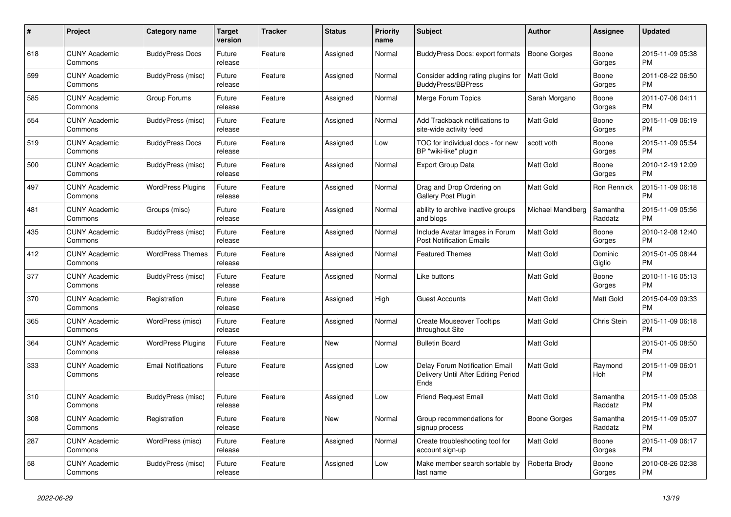| #   | Project                         | Category name              | Target<br>version | <b>Tracker</b> | <b>Status</b> | <b>Priority</b><br>name | <b>Subject</b>                                                                | Author              | Assignee            | <b>Updated</b>                |
|-----|---------------------------------|----------------------------|-------------------|----------------|---------------|-------------------------|-------------------------------------------------------------------------------|---------------------|---------------------|-------------------------------|
| 618 | <b>CUNY Academic</b><br>Commons | <b>BuddyPress Docs</b>     | Future<br>release | Feature        | Assigned      | Normal                  | BuddyPress Docs: export formats                                               | <b>Boone Gorges</b> | Boone<br>Gorges     | 2015-11-09 05:38<br><b>PM</b> |
| 599 | <b>CUNY Academic</b><br>Commons | BuddyPress (misc)          | Future<br>release | Feature        | Assigned      | Normal                  | Consider adding rating plugins for<br>BuddyPress/BBPress                      | <b>Matt Gold</b>    | Boone<br>Gorges     | 2011-08-22 06:50<br><b>PM</b> |
| 585 | <b>CUNY Academic</b><br>Commons | Group Forums               | Future<br>release | Feature        | Assigned      | Normal                  | Merge Forum Topics                                                            | Sarah Morgano       | Boone<br>Gorges     | 2011-07-06 04:11<br><b>PM</b> |
| 554 | <b>CUNY Academic</b><br>Commons | BuddyPress (misc)          | Future<br>release | Feature        | Assigned      | Normal                  | Add Trackback notifications to<br>site-wide activity feed                     | <b>Matt Gold</b>    | Boone<br>Gorges     | 2015-11-09 06:19<br><b>PM</b> |
| 519 | <b>CUNY Academic</b><br>Commons | <b>BuddyPress Docs</b>     | Future<br>release | Feature        | Assigned      | Low                     | TOC for individual docs - for new<br>BP "wiki-like" plugin                    | scott voth          | Boone<br>Gorges     | 2015-11-09 05:54<br><b>PM</b> |
| 500 | <b>CUNY Academic</b><br>Commons | BuddyPress (misc)          | Future<br>release | Feature        | Assigned      | Normal                  | <b>Export Group Data</b>                                                      | Matt Gold           | Boone<br>Gorges     | 2010-12-19 12:09<br><b>PM</b> |
| 497 | <b>CUNY Academic</b><br>Commons | <b>WordPress Plugins</b>   | Future<br>release | Feature        | Assigned      | Normal                  | Drag and Drop Ordering on<br><b>Gallery Post Plugin</b>                       | <b>Matt Gold</b>    | Ron Rennick         | 2015-11-09 06:18<br><b>PM</b> |
| 481 | <b>CUNY Academic</b><br>Commons | Groups (misc)              | Future<br>release | Feature        | Assigned      | Normal                  | ability to archive inactive groups<br>and blogs                               | Michael Mandiberg   | Samantha<br>Raddatz | 2015-11-09 05:56<br><b>PM</b> |
| 435 | <b>CUNY Academic</b><br>Commons | BuddyPress (misc)          | Future<br>release | Feature        | Assigned      | Normal                  | Include Avatar Images in Forum<br><b>Post Notification Emails</b>             | <b>Matt Gold</b>    | Boone<br>Gorges     | 2010-12-08 12:40<br><b>PM</b> |
| 412 | <b>CUNY Academic</b><br>Commons | <b>WordPress Themes</b>    | Future<br>release | Feature        | Assigned      | Normal                  | <b>Featured Themes</b>                                                        | <b>Matt Gold</b>    | Dominic<br>Giglio   | 2015-01-05 08:44<br><b>PM</b> |
| 377 | <b>CUNY Academic</b><br>Commons | BuddyPress (misc)          | Future<br>release | Feature        | Assigned      | Normal                  | Like buttons                                                                  | <b>Matt Gold</b>    | Boone<br>Gorges     | 2010-11-16 05:13<br><b>PM</b> |
| 370 | <b>CUNY Academic</b><br>Commons | Registration               | Future<br>release | Feature        | Assigned      | High                    | <b>Guest Accounts</b>                                                         | Matt Gold           | Matt Gold           | 2015-04-09 09:33<br><b>PM</b> |
| 365 | <b>CUNY Academic</b><br>Commons | WordPress (misc)           | Future<br>release | Feature        | Assigned      | Normal                  | <b>Create Mouseover Tooltips</b><br>throughout Site                           | <b>Matt Gold</b>    | Chris Stein         | 2015-11-09 06:18<br><b>PM</b> |
| 364 | <b>CUNY Academic</b><br>Commons | <b>WordPress Plugins</b>   | Future<br>release | Feature        | <b>New</b>    | Normal                  | <b>Bulletin Board</b>                                                         | <b>Matt Gold</b>    |                     | 2015-01-05 08:50<br><b>PM</b> |
| 333 | <b>CUNY Academic</b><br>Commons | <b>Email Notifications</b> | Future<br>release | Feature        | Assigned      | Low                     | Delay Forum Notification Email<br>Delivery Until After Editing Period<br>Ends | <b>Matt Gold</b>    | Raymond<br>Hoh      | 2015-11-09 06:01<br><b>PM</b> |
| 310 | <b>CUNY Academic</b><br>Commons | BuddyPress (misc)          | Future<br>release | Feature        | Assigned      | Low                     | Friend Request Email                                                          | <b>Matt Gold</b>    | Samantha<br>Raddatz | 2015-11-09 05:08<br><b>PM</b> |
| 308 | <b>CUNY Academic</b><br>Commons | Registration               | Future<br>release | Feature        | <b>New</b>    | Normal                  | Group recommendations for<br>signup process                                   | Boone Gorges        | Samantha<br>Raddatz | 2015-11-09 05:07<br><b>PM</b> |
| 287 | <b>CUNY Academic</b><br>Commons | WordPress (misc)           | Future<br>release | Feature        | Assigned      | Normal                  | Create troubleshooting tool for<br>account sign-up                            | <b>Matt Gold</b>    | Boone<br>Gorges     | 2015-11-09 06:17<br><b>PM</b> |
| 58  | <b>CUNY Academic</b><br>Commons | BuddyPress (misc)          | Future<br>release | Feature        | Assigned      | Low                     | Make member search sortable by<br>last name                                   | Roberta Brody       | Boone<br>Gorges     | 2010-08-26 02:38<br><b>PM</b> |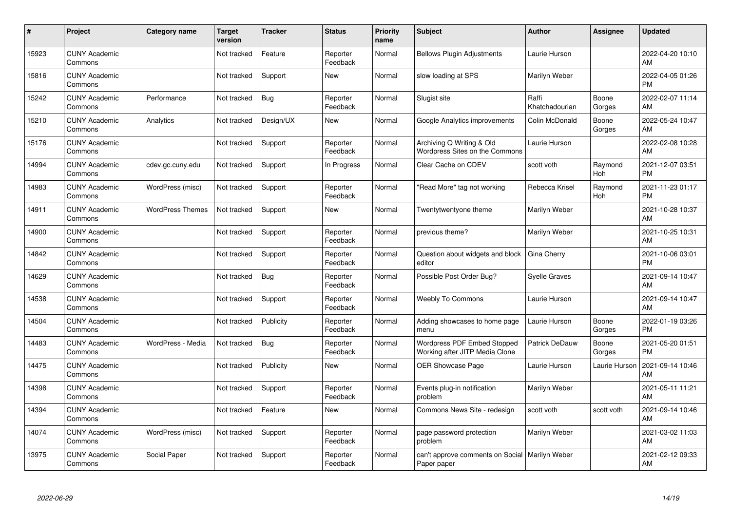| #     | Project                         | <b>Category name</b>    | <b>Target</b><br>version | <b>Tracker</b> | <b>Status</b>        | <b>Priority</b><br>name | <b>Subject</b>                                                | <b>Author</b>           | <b>Assignee</b>       | <b>Updated</b>                |
|-------|---------------------------------|-------------------------|--------------------------|----------------|----------------------|-------------------------|---------------------------------------------------------------|-------------------------|-----------------------|-------------------------------|
| 15923 | <b>CUNY Academic</b><br>Commons |                         | Not tracked              | Feature        | Reporter<br>Feedback | Normal                  | <b>Bellows Plugin Adjustments</b>                             | Laurie Hurson           |                       | 2022-04-20 10:10<br>AM        |
| 15816 | <b>CUNY Academic</b><br>Commons |                         | Not tracked              | Support        | New                  | Normal                  | slow loading at SPS                                           | Marilyn Weber           |                       | 2022-04-05 01:26<br><b>PM</b> |
| 15242 | <b>CUNY Academic</b><br>Commons | Performance             | Not tracked              | Bug            | Reporter<br>Feedback | Normal                  | Slugist site                                                  | Raffi<br>Khatchadourian | Boone<br>Gorges       | 2022-02-07 11:14<br>AM        |
| 15210 | <b>CUNY Academic</b><br>Commons | Analytics               | Not tracked              | Design/UX      | <b>New</b>           | Normal                  | Google Analytics improvements                                 | Colin McDonald          | Boone<br>Gorges       | 2022-05-24 10:47<br>AM        |
| 15176 | <b>CUNY Academic</b><br>Commons |                         | Not tracked              | Support        | Reporter<br>Feedback | Normal                  | Archiving Q Writing & Old<br>Wordpress Sites on the Commons   | Laurie Hurson           |                       | 2022-02-08 10:28<br>AM        |
| 14994 | <b>CUNY Academic</b><br>Commons | cdev.gc.cuny.edu        | Not tracked              | Support        | In Progress          | Normal                  | Clear Cache on CDEV                                           | scott voth              | Raymond<br><b>Hoh</b> | 2021-12-07 03:51<br><b>PM</b> |
| 14983 | <b>CUNY Academic</b><br>Commons | WordPress (misc)        | Not tracked              | Support        | Reporter<br>Feedback | Normal                  | 'Read More" tag not working                                   | Rebecca Krisel          | Raymond<br>Hoh        | 2021-11-23 01:17<br><b>PM</b> |
| 14911 | <b>CUNY Academic</b><br>Commons | <b>WordPress Themes</b> | Not tracked              | Support        | <b>New</b>           | Normal                  | Twentytwentyone theme                                         | Marilyn Weber           |                       | 2021-10-28 10:37<br>AM        |
| 14900 | <b>CUNY Academic</b><br>Commons |                         | Not tracked              | Support        | Reporter<br>Feedback | Normal                  | previous theme?                                               | Marilyn Weber           |                       | 2021-10-25 10:31<br>AM        |
| 14842 | <b>CUNY Academic</b><br>Commons |                         | Not tracked              | Support        | Reporter<br>Feedback | Normal                  | Question about widgets and block<br>editor                    | Gina Cherry             |                       | 2021-10-06 03:01<br><b>PM</b> |
| 14629 | <b>CUNY Academic</b><br>Commons |                         | Not tracked              | <b>Bug</b>     | Reporter<br>Feedback | Normal                  | Possible Post Order Bug?                                      | <b>Syelle Graves</b>    |                       | 2021-09-14 10:47<br>AM        |
| 14538 | <b>CUNY Academic</b><br>Commons |                         | Not tracked              | Support        | Reporter<br>Feedback | Normal                  | <b>Weebly To Commons</b>                                      | Laurie Hurson           |                       | 2021-09-14 10:47<br>AM        |
| 14504 | <b>CUNY Academic</b><br>Commons |                         | Not tracked              | Publicity      | Reporter<br>Feedback | Normal                  | Adding showcases to home page<br>menu                         | Laurie Hurson           | Boone<br>Gorges       | 2022-01-19 03:26<br><b>PM</b> |
| 14483 | <b>CUNY Academic</b><br>Commons | WordPress - Media       | Not tracked              | Bug            | Reporter<br>Feedback | Normal                  | Wordpress PDF Embed Stopped<br>Working after JITP Media Clone | <b>Patrick DeDauw</b>   | Boone<br>Gorges       | 2021-05-20 01:51<br><b>PM</b> |
| 14475 | <b>CUNY Academic</b><br>Commons |                         | Not tracked              | Publicity      | New                  | Normal                  | <b>OER Showcase Page</b>                                      | Laurie Hurson           | Laurie Hurson         | 2021-09-14 10:46<br>AM        |
| 14398 | <b>CUNY Academic</b><br>Commons |                         | Not tracked              | Support        | Reporter<br>Feedback | Normal                  | Events plug-in notification<br>problem                        | Marilyn Weber           |                       | 2021-05-11 11:21<br>AM        |
| 14394 | <b>CUNY Academic</b><br>Commons |                         | Not tracked              | Feature        | <b>New</b>           | Normal                  | Commons News Site - redesign                                  | scott voth              | scott voth            | 2021-09-14 10:46<br>AM        |
| 14074 | <b>CUNY Academic</b><br>Commons | WordPress (misc)        | Not tracked              | Support        | Reporter<br>Feedback | Normal                  | page password protection<br>problem                           | Marilyn Weber           |                       | 2021-03-02 11:03<br>AM        |
| 13975 | <b>CUNY Academic</b><br>Commons | Social Paper            | Not tracked              | Support        | Reporter<br>Feedback | Normal                  | can't approve comments on Social<br>Paper paper               | Marilyn Weber           |                       | 2021-02-12 09:33<br>AM        |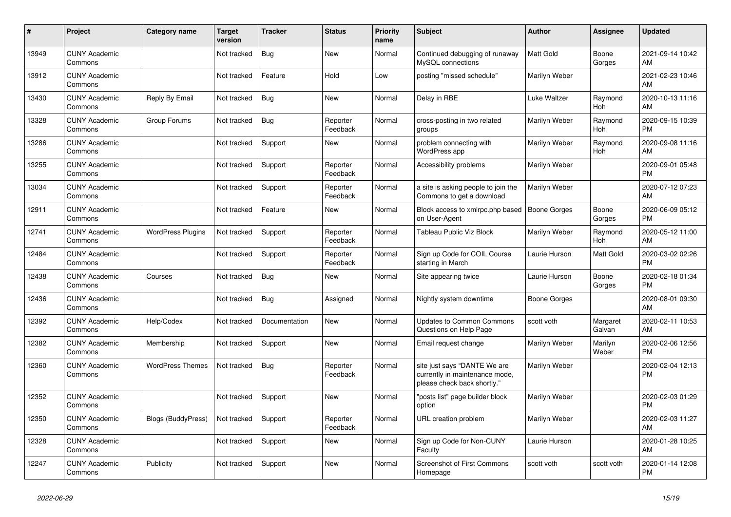| #     | <b>Project</b>                  | Category name             | <b>Target</b><br>version | <b>Tracker</b> | <b>Status</b>        | <b>Priority</b><br>name | <b>Subject</b>                                                                                | <b>Author</b>       | Assignee              | <b>Updated</b>                |
|-------|---------------------------------|---------------------------|--------------------------|----------------|----------------------|-------------------------|-----------------------------------------------------------------------------------------------|---------------------|-----------------------|-------------------------------|
| 13949 | <b>CUNY Academic</b><br>Commons |                           | Not tracked              | Bug            | <b>New</b>           | Normal                  | Continued debugging of runaway<br>MySQL connections                                           | Matt Gold           | Boone<br>Gorges       | 2021-09-14 10:42<br>AM        |
| 13912 | <b>CUNY Academic</b><br>Commons |                           | Not tracked              | Feature        | Hold                 | Low                     | posting "missed schedule"                                                                     | Marilyn Weber       |                       | 2021-02-23 10:46<br>AM        |
| 13430 | <b>CUNY Academic</b><br>Commons | Reply By Email            | Not tracked              | Bug            | <b>New</b>           | Normal                  | Delay in RBE                                                                                  | <b>Luke Waltzer</b> | Raymond<br><b>Hoh</b> | 2020-10-13 11:16<br>AM        |
| 13328 | <b>CUNY Academic</b><br>Commons | Group Forums              | Not tracked              | <b>Bug</b>     | Reporter<br>Feedback | Normal                  | cross-posting in two related<br>groups                                                        | Marilyn Weber       | Raymond<br><b>Hoh</b> | 2020-09-15 10:39<br><b>PM</b> |
| 13286 | <b>CUNY Academic</b><br>Commons |                           | Not tracked              | Support        | New                  | Normal                  | problem connecting with<br>WordPress app                                                      | Marilyn Weber       | Raymond<br>Hoh        | 2020-09-08 11:16<br>AM        |
| 13255 | <b>CUNY Academic</b><br>Commons |                           | Not tracked              | Support        | Reporter<br>Feedback | Normal                  | Accessibility problems                                                                        | Marilyn Weber       |                       | 2020-09-01 05:48<br><b>PM</b> |
| 13034 | <b>CUNY Academic</b><br>Commons |                           | Not tracked              | Support        | Reporter<br>Feedback | Normal                  | a site is asking people to join the<br>Commons to get a download                              | Marilyn Weber       |                       | 2020-07-12 07:23<br>AM        |
| 12911 | <b>CUNY Academic</b><br>Commons |                           | Not tracked              | Feature        | <b>New</b>           | Normal                  | Block access to xmlrpc.php based<br>on User-Agent                                             | <b>Boone Gorges</b> | Boone<br>Gorges       | 2020-06-09 05:12<br><b>PM</b> |
| 12741 | <b>CUNY Academic</b><br>Commons | <b>WordPress Plugins</b>  | Not tracked              | Support        | Reporter<br>Feedback | Normal                  | Tableau Public Viz Block                                                                      | Marilyn Weber       | Raymond<br>Hoh        | 2020-05-12 11:00<br>AM        |
| 12484 | <b>CUNY Academic</b><br>Commons |                           | Not tracked              | Support        | Reporter<br>Feedback | Normal                  | Sign up Code for COIL Course<br>starting in March                                             | Laurie Hurson       | Matt Gold             | 2020-03-02 02:26<br><b>PM</b> |
| 12438 | <b>CUNY Academic</b><br>Commons | Courses                   | Not tracked              | Bug            | <b>New</b>           | Normal                  | Site appearing twice                                                                          | Laurie Hurson       | Boone<br>Gorges       | 2020-02-18 01:34<br><b>PM</b> |
| 12436 | <b>CUNY Academic</b><br>Commons |                           | Not tracked              | <b>Bug</b>     | Assigned             | Normal                  | Nightly system downtime                                                                       | <b>Boone Gorges</b> |                       | 2020-08-01 09:30<br>AM        |
| 12392 | <b>CUNY Academic</b><br>Commons | Help/Codex                | Not tracked              | Documentation  | <b>New</b>           | Normal                  | <b>Updates to Common Commons</b><br>Questions on Help Page                                    | scott voth          | Margaret<br>Galvan    | 2020-02-11 10:53<br>AM        |
| 12382 | <b>CUNY Academic</b><br>Commons | Membership                | Not tracked              | Support        | <b>New</b>           | Normal                  | Email request change                                                                          | Marilyn Weber       | Marilyn<br>Weber      | 2020-02-06 12:56<br><b>PM</b> |
| 12360 | <b>CUNY Academic</b><br>Commons | <b>WordPress Themes</b>   | Not tracked              | Bug            | Reporter<br>Feedback | Normal                  | site just says "DANTE We are<br>currently in maintenance mode,<br>please check back shortly." | Marilyn Weber       |                       | 2020-02-04 12:13<br><b>PM</b> |
| 12352 | <b>CUNY Academic</b><br>Commons |                           | Not tracked              | Support        | <b>New</b>           | Normal                  | 'posts list" page builder block<br>option                                                     | Marilyn Weber       |                       | 2020-02-03 01:29<br><b>PM</b> |
| 12350 | <b>CUNY Academic</b><br>Commons | <b>Blogs (BuddyPress)</b> | Not tracked              | Support        | Reporter<br>Feedback | Normal                  | <b>URL</b> creation problem                                                                   | Marilyn Weber       |                       | 2020-02-03 11:27<br>AM        |
| 12328 | <b>CUNY Academic</b><br>Commons |                           | Not tracked              | Support        | New                  | Normal                  | Sign up Code for Non-CUNY<br>Faculty                                                          | Laurie Hurson       |                       | 2020-01-28 10:25<br>AM        |
| 12247 | <b>CUNY Academic</b><br>Commons | Publicity                 | Not tracked              | Support        | <b>New</b>           | Normal                  | Screenshot of First Commons<br>Homepage                                                       | scott voth          | scott voth            | 2020-01-14 12:08<br><b>PM</b> |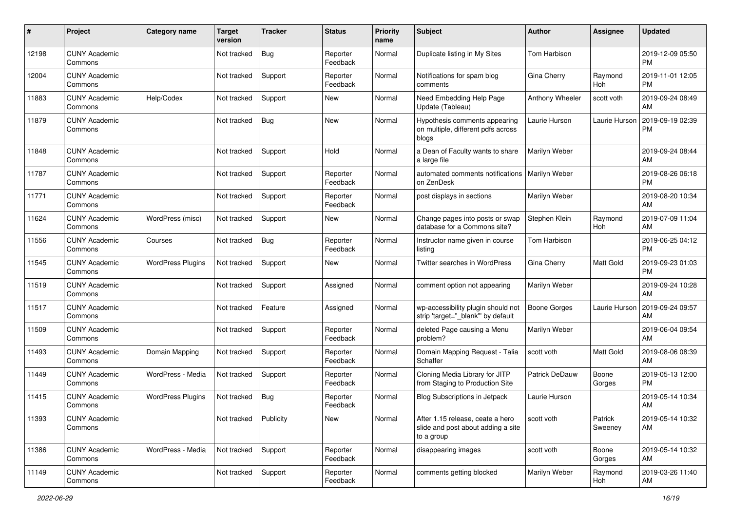| #     | Project                         | <b>Category name</b>     | <b>Target</b><br>version | <b>Tracker</b> | <b>Status</b>        | <b>Priority</b><br>name | Subject                                                                              | Author                | <b>Assignee</b>       | <b>Updated</b>                |
|-------|---------------------------------|--------------------------|--------------------------|----------------|----------------------|-------------------------|--------------------------------------------------------------------------------------|-----------------------|-----------------------|-------------------------------|
| 12198 | <b>CUNY Academic</b><br>Commons |                          | Not tracked              | <b>Bug</b>     | Reporter<br>Feedback | Normal                  | Duplicate listing in My Sites                                                        | Tom Harbison          |                       | 2019-12-09 05:50<br>PM        |
| 12004 | <b>CUNY Academic</b><br>Commons |                          | Not tracked              | Support        | Reporter<br>Feedback | Normal                  | Notifications for spam blog<br>comments                                              | Gina Cherry           | Raymond<br><b>Hoh</b> | 2019-11-01 12:05<br><b>PM</b> |
| 11883 | <b>CUNY Academic</b><br>Commons | Help/Codex               | Not tracked              | Support        | New                  | Normal                  | Need Embedding Help Page<br>Update (Tableau)                                         | Anthony Wheeler       | scott voth            | 2019-09-24 08:49<br>AM        |
| 11879 | <b>CUNY Academic</b><br>Commons |                          | Not tracked              | Bug            | <b>New</b>           | Normal                  | Hypothesis comments appearing<br>on multiple, different pdfs across<br>blogs         | Laurie Hurson         | Laurie Hurson         | 2019-09-19 02:39<br>PM        |
| 11848 | <b>CUNY Academic</b><br>Commons |                          | Not tracked              | Support        | Hold                 | Normal                  | a Dean of Faculty wants to share<br>a large file                                     | Marilyn Weber         |                       | 2019-09-24 08:44<br>AM        |
| 11787 | <b>CUNY Academic</b><br>Commons |                          | Not tracked              | Support        | Reporter<br>Feedback | Normal                  | automated comments notifications<br>on ZenDesk                                       | <b>Marilyn Weber</b>  |                       | 2019-08-26 06:18<br><b>PM</b> |
| 11771 | <b>CUNY Academic</b><br>Commons |                          | Not tracked              | Support        | Reporter<br>Feedback | Normal                  | post displays in sections                                                            | Marilyn Weber         |                       | 2019-08-20 10:34<br>AM        |
| 11624 | <b>CUNY Academic</b><br>Commons | WordPress (misc)         | Not tracked              | Support        | New                  | Normal                  | Change pages into posts or swap<br>database for a Commons site?                      | Stephen Klein         | Raymond<br>Hoh        | 2019-07-09 11:04<br>AM        |
| 11556 | <b>CUNY Academic</b><br>Commons | Courses                  | Not tracked              | Bug            | Reporter<br>Feedback | Normal                  | Instructor name given in course<br>listing                                           | Tom Harbison          |                       | 2019-06-25 04:12<br><b>PM</b> |
| 11545 | <b>CUNY Academic</b><br>Commons | <b>WordPress Plugins</b> | Not tracked              | Support        | New                  | Normal                  | Twitter searches in WordPress                                                        | Gina Cherry           | <b>Matt Gold</b>      | 2019-09-23 01:03<br><b>PM</b> |
| 11519 | <b>CUNY Academic</b><br>Commons |                          | Not tracked              | Support        | Assigned             | Normal                  | comment option not appearing                                                         | Marilyn Weber         |                       | 2019-09-24 10:28<br>AM        |
| 11517 | <b>CUNY Academic</b><br>Commons |                          | Not tracked              | Feature        | Assigned             | Normal                  | wp-accessibility plugin should not<br>strip 'target="_blank" by default              | Boone Gorges          | Laurie Hurson         | 2019-09-24 09:57<br>AM        |
| 11509 | <b>CUNY Academic</b><br>Commons |                          | Not tracked              | Support        | Reporter<br>Feedback | Normal                  | deleted Page causing a Menu<br>problem?                                              | Marilyn Weber         |                       | 2019-06-04 09:54<br>AM        |
| 11493 | <b>CUNY Academic</b><br>Commons | Domain Mapping           | Not tracked              | Support        | Reporter<br>Feedback | Normal                  | Domain Mapping Request - Talia<br>Schaffer                                           | scott voth            | <b>Matt Gold</b>      | 2019-08-06 08:39<br>AM        |
| 11449 | <b>CUNY Academic</b><br>Commons | WordPress - Media        | Not tracked              | Support        | Reporter<br>Feedback | Normal                  | Cloning Media Library for JITP<br>from Staging to Production Site                    | <b>Patrick DeDauw</b> | Boone<br>Gorges       | 2019-05-13 12:00<br><b>PM</b> |
| 11415 | <b>CUNY Academic</b><br>Commons | <b>WordPress Plugins</b> | Not tracked              | <b>Bug</b>     | Reporter<br>Feedback | Normal                  | <b>Blog Subscriptions in Jetpack</b>                                                 | Laurie Hurson         |                       | 2019-05-14 10:34<br>AM        |
| 11393 | <b>CUNY Academic</b><br>Commons |                          | Not tracked              | Publicity      | New                  | Normal                  | After 1.15 release, ceate a hero<br>slide and post about adding a site<br>to a group | scott voth            | Patrick<br>Sweeney    | 2019-05-14 10:32<br>AM        |
| 11386 | <b>CUNY Academic</b><br>Commons | WordPress - Media        | Not tracked              | Support        | Reporter<br>Feedback | Normal                  | disappearing images                                                                  | scott voth            | Boone<br>Gorges       | 2019-05-14 10:32<br>AM        |
| 11149 | <b>CUNY Academic</b><br>Commons |                          | Not tracked              | Support        | Reporter<br>Feedback | Normal                  | comments getting blocked                                                             | Marilyn Weber         | Raymond<br>Hoh        | 2019-03-26 11:40<br>AM        |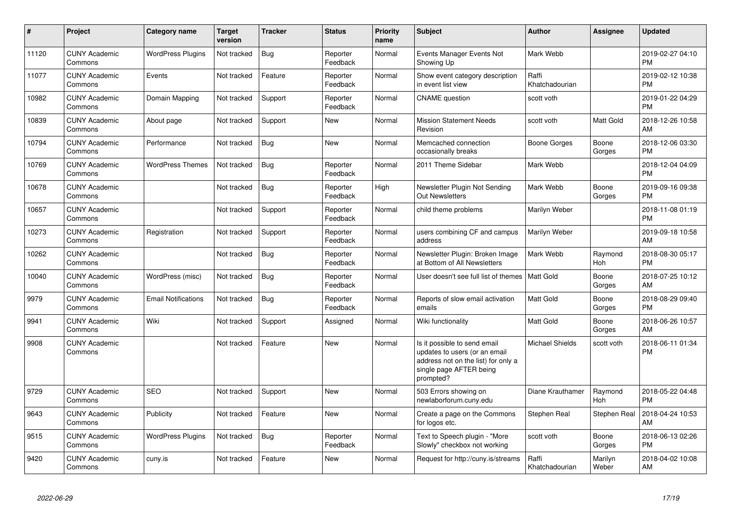| #     | Project                         | Category name              | Target<br>version | <b>Tracker</b> | <b>Status</b>        | <b>Priority</b><br>name | <b>Subject</b>                                                                                                                               | <b>Author</b>           | <b>Assignee</b>       | <b>Updated</b>                |
|-------|---------------------------------|----------------------------|-------------------|----------------|----------------------|-------------------------|----------------------------------------------------------------------------------------------------------------------------------------------|-------------------------|-----------------------|-------------------------------|
| 11120 | <b>CUNY Academic</b><br>Commons | <b>WordPress Plugins</b>   | Not tracked       | Bug            | Reporter<br>Feedback | Normal                  | Events Manager Events Not<br>Showing Up                                                                                                      | Mark Webb               |                       | 2019-02-27 04:10<br><b>PM</b> |
| 11077 | <b>CUNY Academic</b><br>Commons | Events                     | Not tracked       | Feature        | Reporter<br>Feedback | Normal                  | Show event category description<br>in event list view                                                                                        | Raffi<br>Khatchadourian |                       | 2019-02-12 10:38<br><b>PM</b> |
| 10982 | <b>CUNY Academic</b><br>Commons | Domain Mapping             | Not tracked       | Support        | Reporter<br>Feedback | Normal                  | <b>CNAME</b> question                                                                                                                        | scott voth              |                       | 2019-01-22 04:29<br><b>PM</b> |
| 10839 | <b>CUNY Academic</b><br>Commons | About page                 | Not tracked       | Support        | <b>New</b>           | Normal                  | <b>Mission Statement Needs</b><br>Revision                                                                                                   | scott voth              | <b>Matt Gold</b>      | 2018-12-26 10:58<br>AM        |
| 10794 | <b>CUNY Academic</b><br>Commons | Performance                | Not tracked       | Bug            | <b>New</b>           | Normal                  | Memcached connection<br>occasionally breaks                                                                                                  | Boone Gorges            | Boone<br>Gorges       | 2018-12-06 03:30<br><b>PM</b> |
| 10769 | <b>CUNY Academic</b><br>Commons | <b>WordPress Themes</b>    | Not tracked       | Bug            | Reporter<br>Feedback | Normal                  | 2011 Theme Sidebar                                                                                                                           | Mark Webb               |                       | 2018-12-04 04:09<br><b>PM</b> |
| 10678 | <b>CUNY Academic</b><br>Commons |                            | Not tracked       | <b>Bug</b>     | Reporter<br>Feedback | High                    | Newsletter Plugin Not Sending<br><b>Out Newsletters</b>                                                                                      | Mark Webb               | Boone<br>Gorges       | 2019-09-16 09:38<br><b>PM</b> |
| 10657 | <b>CUNY Academic</b><br>Commons |                            | Not tracked       | Support        | Reporter<br>Feedback | Normal                  | child theme problems                                                                                                                         | Marilyn Weber           |                       | 2018-11-08 01:19<br><b>PM</b> |
| 10273 | <b>CUNY Academic</b><br>Commons | Registration               | Not tracked       | Support        | Reporter<br>Feedback | Normal                  | users combining CF and campus<br>address                                                                                                     | Marilyn Weber           |                       | 2019-09-18 10:58<br>AM        |
| 10262 | <b>CUNY Academic</b><br>Commons |                            | Not tracked       | <b>Bug</b>     | Reporter<br>Feedback | Normal                  | Newsletter Plugin: Broken Image<br>at Bottom of All Newsletters                                                                              | Mark Webb               | Raymond<br>Hoh        | 2018-08-30 05:17<br><b>PM</b> |
| 10040 | <b>CUNY Academic</b><br>Commons | WordPress (misc)           | Not tracked       | <b>Bug</b>     | Reporter<br>Feedback | Normal                  | User doesn't see full list of themes                                                                                                         | <b>Matt Gold</b>        | Boone<br>Gorges       | 2018-07-25 10:12<br>AM        |
| 9979  | <b>CUNY Academic</b><br>Commons | <b>Email Notifications</b> | Not tracked       | <b>Bug</b>     | Reporter<br>Feedback | Normal                  | Reports of slow email activation<br>emails                                                                                                   | <b>Matt Gold</b>        | Boone<br>Gorges       | 2018-08-29 09:40<br><b>PM</b> |
| 9941  | <b>CUNY Academic</b><br>Commons | Wiki                       | Not tracked       | Support        | Assigned             | Normal                  | Wiki functionality                                                                                                                           | Matt Gold               | Boone<br>Gorges       | 2018-06-26 10:57<br>AM        |
| 9908  | <b>CUNY Academic</b><br>Commons |                            | Not tracked       | Feature        | <b>New</b>           | Normal                  | Is it possible to send email<br>updates to users (or an email<br>address not on the list) for only a<br>single page AFTER being<br>prompted? | <b>Michael Shields</b>  | scott voth            | 2018-06-11 01:34<br><b>PM</b> |
| 9729  | <b>CUNY Academic</b><br>Commons | <b>SEO</b>                 | Not tracked       | Support        | New                  | Normal                  | 503 Errors showing on<br>newlaborforum.cuny.edu                                                                                              | Diane Krauthamer        | Raymond<br><b>Hoh</b> | 2018-05-22 04:48<br><b>PM</b> |
| 9643  | <b>CUNY Academic</b><br>Commons | Publicity                  | Not tracked       | Feature        | <b>New</b>           | Normal                  | Create a page on the Commons<br>for logos etc.                                                                                               | Stephen Real            | Stephen Real          | 2018-04-24 10:53<br>AM        |
| 9515  | <b>CUNY Academic</b><br>Commons | <b>WordPress Plugins</b>   | Not tracked       | <b>Bug</b>     | Reporter<br>Feedback | Normal                  | Text to Speech plugin - "More<br>Slowly" checkbox not working                                                                                | scott voth              | Boone<br>Gorges       | 2018-06-13 02:26<br><b>PM</b> |
| 9420  | <b>CUNY Academic</b><br>Commons | cuny.is                    | Not tracked       | Feature        | <b>New</b>           | Normal                  | Request for http://cuny.is/streams                                                                                                           | Raffi<br>Khatchadourian | Marilyn<br>Weber      | 2018-04-02 10:08<br>AM        |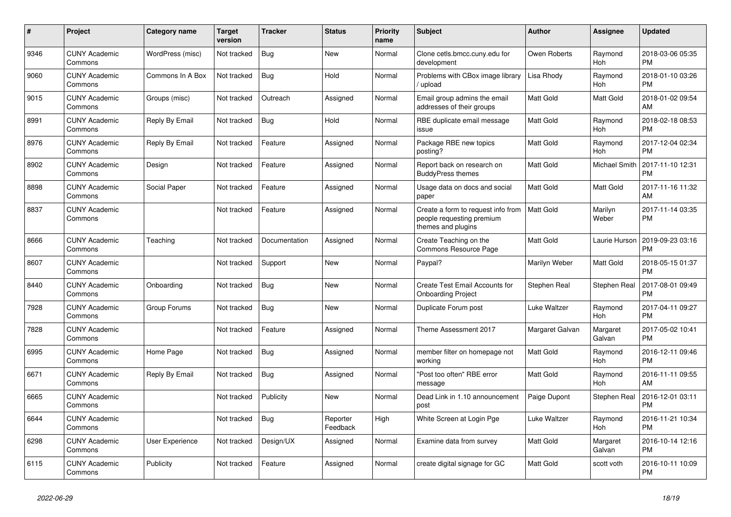| #    | Project                         | Category name          | Target<br>version | <b>Tracker</b> | <b>Status</b>        | <b>Priority</b><br>name | <b>Subject</b>                                                                        | <b>Author</b>    | <b>Assignee</b>       | <b>Updated</b>                |
|------|---------------------------------|------------------------|-------------------|----------------|----------------------|-------------------------|---------------------------------------------------------------------------------------|------------------|-----------------------|-------------------------------|
| 9346 | <b>CUNY Academic</b><br>Commons | WordPress (misc)       | Not tracked       | Bug            | <b>New</b>           | Normal                  | Clone cetls.bmcc.cuny.edu for<br>development                                          | Owen Roberts     | Raymond<br><b>Hoh</b> | 2018-03-06 05:35<br><b>PM</b> |
| 9060 | <b>CUNY Academic</b><br>Commons | Commons In A Box       | Not tracked       | Bug            | Hold                 | Normal                  | Problems with CBox image library<br>upload                                            | Lisa Rhody       | Raymond<br>Hoh        | 2018-01-10 03:26<br><b>PM</b> |
| 9015 | <b>CUNY Academic</b><br>Commons | Groups (misc)          | Not tracked       | Outreach       | Assigned             | Normal                  | Email group admins the email<br>addresses of their groups                             | Matt Gold        | Matt Gold             | 2018-01-02 09:54<br>AM        |
| 8991 | <b>CUNY Academic</b><br>Commons | Reply By Email         | Not tracked       | <b>Bug</b>     | Hold                 | Normal                  | RBE duplicate email message<br>issue                                                  | Matt Gold        | Raymond<br><b>Hoh</b> | 2018-02-18 08:53<br><b>PM</b> |
| 8976 | <b>CUNY Academic</b><br>Commons | Reply By Email         | Not tracked       | Feature        | Assigned             | Normal                  | Package RBE new topics<br>posting?                                                    | Matt Gold        | Raymond<br>Hoh        | 2017-12-04 02:34<br><b>PM</b> |
| 8902 | <b>CUNY Academic</b><br>Commons | Design                 | Not tracked       | Feature        | Assigned             | Normal                  | Report back on research on<br><b>BuddyPress themes</b>                                | <b>Matt Gold</b> | Michael Smith         | 2017-11-10 12:31<br><b>PM</b> |
| 8898 | <b>CUNY Academic</b><br>Commons | Social Paper           | Not tracked       | Feature        | Assigned             | Normal                  | Usage data on docs and social<br>paper                                                | <b>Matt Gold</b> | <b>Matt Gold</b>      | 2017-11-16 11:32<br>AM        |
| 8837 | <b>CUNY Academic</b><br>Commons |                        | Not tracked       | Feature        | Assigned             | Normal                  | Create a form to request info from<br>people requesting premium<br>themes and plugins | <b>Matt Gold</b> | Marilyn<br>Weber      | 2017-11-14 03:35<br><b>PM</b> |
| 8666 | <b>CUNY Academic</b><br>Commons | Teaching               | Not tracked       | Documentation  | Assigned             | Normal                  | Create Teaching on the<br>Commons Resource Page                                       | Matt Gold        | Laurie Hurson         | 2019-09-23 03:16<br><b>PM</b> |
| 8607 | <b>CUNY Academic</b><br>Commons |                        | Not tracked       | Support        | <b>New</b>           | Normal                  | Paypal?                                                                               | Marilyn Weber    | Matt Gold             | 2018-05-15 01:37<br><b>PM</b> |
| 8440 | <b>CUNY Academic</b><br>Commons | Onboarding             | Not tracked       | Bug            | New                  | Normal                  | <b>Create Test Email Accounts for</b><br><b>Onboarding Project</b>                    | Stephen Real     | Stephen Real          | 2017-08-01 09:49<br><b>PM</b> |
| 7928 | <b>CUNY Academic</b><br>Commons | Group Forums           | Not tracked       | Bug            | New                  | Normal                  | Duplicate Forum post                                                                  | Luke Waltzer     | Raymond<br><b>Hoh</b> | 2017-04-11 09:27<br><b>PM</b> |
| 7828 | <b>CUNY Academic</b><br>Commons |                        | Not tracked       | Feature        | Assigned             | Normal                  | Theme Assessment 2017                                                                 | Margaret Galvan  | Margaret<br>Galvan    | 2017-05-02 10:41<br><b>PM</b> |
| 6995 | <b>CUNY Academic</b><br>Commons | Home Page              | Not tracked       | Bug            | Assigned             | Normal                  | member filter on homepage not<br>working                                              | Matt Gold        | Raymond<br>Hoh        | 2016-12-11 09:46<br><b>PM</b> |
| 6671 | <b>CUNY Academic</b><br>Commons | Reply By Email         | Not tracked       | <b>Bug</b>     | Assigned             | Normal                  | "Post too often" RBE error<br>message                                                 | Matt Gold        | Raymond<br><b>Hoh</b> | 2016-11-11 09:55<br>AM        |
| 6665 | <b>CUNY Academic</b><br>Commons |                        | Not tracked       | Publicity      | <b>New</b>           | Normal                  | Dead Link in 1.10 announcement<br>post                                                | Paige Dupont     | Stephen Real          | 2016-12-01 03:11<br><b>PM</b> |
| 6644 | <b>CUNY Academic</b><br>Commons |                        | Not tracked       | <b>Bug</b>     | Reporter<br>Feedback | High                    | White Screen at Login Pge                                                             | Luke Waltzer     | Raymond<br>Hoh        | 2016-11-21 10:34<br><b>PM</b> |
| 6298 | <b>CUNY Academic</b><br>Commons | <b>User Experience</b> | Not tracked       | Design/UX      | Assigned             | Normal                  | Examine data from survey                                                              | Matt Gold        | Margaret<br>Galvan    | 2016-10-14 12:16<br><b>PM</b> |
| 6115 | <b>CUNY Academic</b><br>Commons | Publicity              | Not tracked       | Feature        | Assigned             | Normal                  | create digital signage for GC                                                         | <b>Matt Gold</b> | scott voth            | 2016-10-11 10:09<br><b>PM</b> |